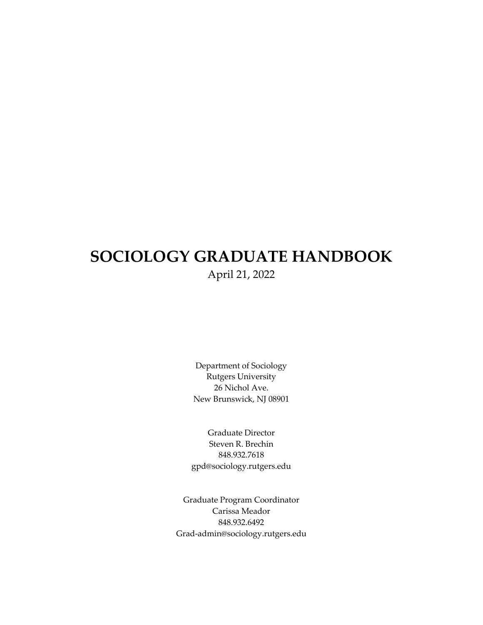# **SOCIOLOGY GRADUATE HANDBOOK** April 21, 2022

Department of Sociology Rutgers University 26 Nichol Ave. New Brunswick, NJ 08901

Graduate Director Steven R. Brechin 848.932.7618 gpd@sociology.rutgers.edu

Graduate Program Coordinator Carissa Meador 848.932.6492 Grad-admin@sociology.rutgers.edu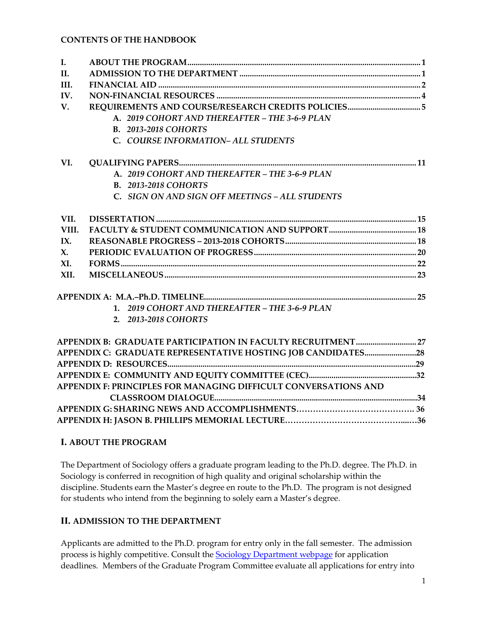| I.             |                                                                 |
|----------------|-----------------------------------------------------------------|
| II.            |                                                                 |
| III.           |                                                                 |
| IV.            |                                                                 |
| V.             |                                                                 |
|                | A. 2019 COHORT AND THEREAFTER - THE 3-6-9 PLAN                  |
|                | <b>B. 2013-2018 COHORTS</b>                                     |
|                | C. COURSE INFORMATION- ALL STUDENTS                             |
| VI.            |                                                                 |
|                | A. 2019 COHORT AND THEREAFTER - THE 3-6-9 PLAN                  |
|                | <b>B. 2013-2018 COHORTS</b>                                     |
|                | C. SIGN ON AND SIGN OFF MEETINGS - ALL STUDENTS                 |
| VII.           |                                                                 |
| VIII.          |                                                                 |
| IX.            |                                                                 |
| $\mathbf{X}$ . |                                                                 |
| XI.            |                                                                 |
| XII.           |                                                                 |
|                |                                                                 |
|                | 1. 2019 COHORT AND THEREAFTER - THE 3-6-9 PLAN                  |
|                | 2. 2013-2018 COHORTS                                            |
|                |                                                                 |
|                |                                                                 |
|                |                                                                 |
|                |                                                                 |
|                | APPENDIX F: PRINCIPLES FOR MANAGING DIFFICULT CONVERSATIONS AND |
|                |                                                                 |
|                |                                                                 |
|                |                                                                 |

### **I. ABOUT THE PROGRAM**

The Department of Sociology offers a graduate program leading to the Ph.D. degree. The Ph.D. in Sociology is conferred in recognition of high quality and original scholarship within the discipline. Students earn the Master's degree en route to the Ph.D. The program is not designed for students who intend from the beginning to solely earn a Master's degree.

# **II. ADMISSION TO THE DEPARTMENT**

Applicants are admitted to the Ph.D. program for entry only in the fall semester. The admission process is highly competitive. Consult the **Sociology Department webpage** for application deadlines. Members of the Graduate Program Committee evaluate all applications for entry into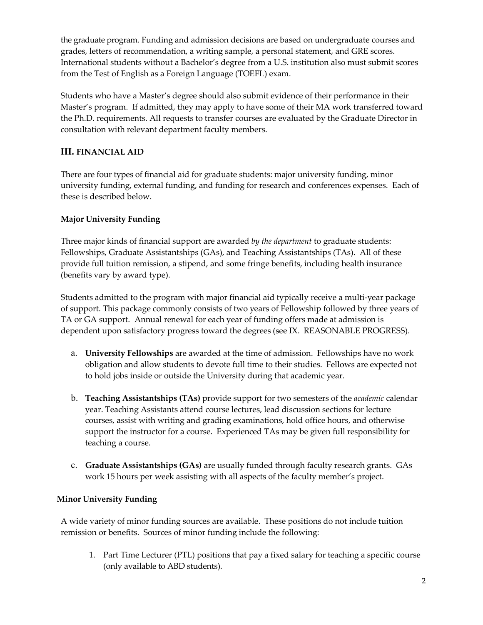the graduate program. Funding and admission decisions are based on undergraduate courses and grades, letters of recommendation, a writing sample, a personal statement, and GRE scores. International students without a Bachelor's degree from a U.S. institution also must submit scores from the Test of English as a Foreign Language (TOEFL) exam.

Students who have a Master's degree should also submit evidence of their performance in their Master's program. If admitted, they may apply to have some of their MA work transferred toward the Ph.D. requirements. All requests to transfer courses are evaluated by the Graduate Director in consultation with relevant department faculty members.

# **III. FINANCIAL AID**

There are four types of financial aid for graduate students: major university funding, minor university funding, external funding, and funding for research and conferences expenses. Each of these is described below.

# **Major University Funding**

Three major kinds of financial support are awarded *by the department* to graduate students: Fellowships, Graduate Assistantships (GAs), and Teaching Assistantships (TAs). All of these provide full tuition remission, a stipend, and some fringe benefits, including health insurance (benefits vary by award type).

Students admitted to the program with major financial aid typically receive a multi-year package of support. This package commonly consists of two years of Fellowship followed by three years of TA or GA support. Annual renewal for each year of funding offers made at admission is dependent upon satisfactory progress toward the degrees (see IX. REASONABLE PROGRESS).

- a. **University Fellowships** are awarded at the time of admission. Fellowships have no work obligation and allow students to devote full time to their studies. Fellows are expected not to hold jobs inside or outside the University during that academic year.
- b. **Teaching Assistantships (TAs)** provide support for two semesters of the *academic* calendar year. Teaching Assistants attend course lectures, lead discussion sections for lecture courses, assist with writing and grading examinations, hold office hours, and otherwise support the instructor for a course. Experienced TAs may be given full responsibility for teaching a course.
- c. **Graduate Assistantships (GAs)** are usually funded through faculty research grants. GAs work 15 hours per week assisting with all aspects of the faculty member's project.

### **Minor University Funding**

A wide variety of minor funding sources are available. These positions do not include tuition remission or benefits. Sources of minor funding include the following:

1. Part Time Lecturer (PTL) positions that pay a fixed salary for teaching a specific course (only available to ABD students).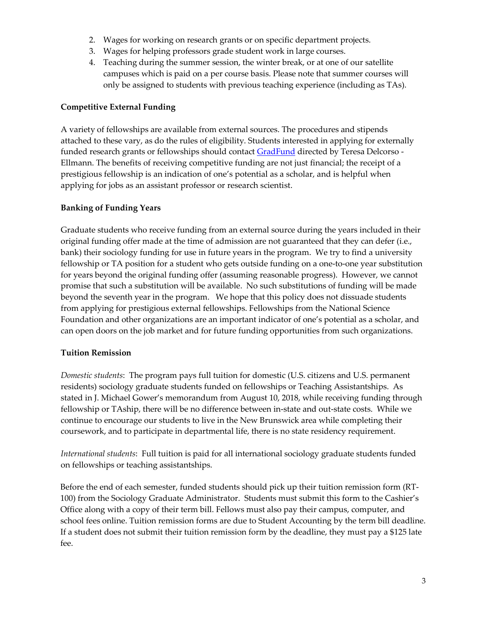- 2. Wages for working on research grants or on specific department projects.
- 3. Wages for helping professors grade student work in large courses.
- 4. Teaching during the summer session, the winter break, or at one of our satellite campuses which is paid on a per course basis. Please note that summer courses will only be assigned to students with previous teaching experience (including as TAs).

# **Competitive External Funding**

A variety of fellowships are available from external sources. The procedures and stipends attached to these vary, as do the rules of eligibility. Students interested in applying for externally funded research grants or fellowships should contact **GradFund** directed by Teresa Delcorso -Ellmann. The benefits of receiving competitive funding are not just financial; the receipt of a prestigious fellowship is an indication of one's potential as a scholar, and is helpful when applying for jobs as an assistant professor or research scientist.

# **Banking of Funding Years**

Graduate students who receive funding from an external source during the years included in their original funding offer made at the time of admission are not guaranteed that they can defer (i.e., bank) their sociology funding for use in future years in the program. We try to find a university fellowship or TA position for a student who gets outside funding on a one-to-one year substitution for years beyond the original funding offer (assuming reasonable progress). However, we cannot promise that such a substitution will be available. No such substitutions of funding will be made beyond the seventh year in the program. We hope that this policy does not dissuade students from applying for prestigious external fellowships. Fellowships from the National Science Foundation and other organizations are an important indicator of one's potential as a scholar, and can open doors on the job market and for future funding opportunities from such organizations.

### **Tuition Remission**

*Domestic students*: The program pays full tuition for domestic (U.S. citizens and U.S. permanent residents) sociology graduate students funded on fellowships or Teaching Assistantships. As stated in J. Michael Gower's memorandum from August 10, 2018, while receiving funding through fellowship or TAship, there will be no difference between in-state and out-state costs. While we continue to encourage our students to live in the New Brunswick area while completing their coursework, and to participate in departmental life, there is no state residency requirement.

*International students*: Full tuition is paid for all international sociology graduate students funded on fellowships or teaching assistantships.

Before the end of each semester, funded students should pick up their tuition remission form (RT-100) from the Sociology Graduate Administrator. Students must submit this form to the Cashier's Office along with a copy of their term bill. Fellows must also pay their campus, computer, and school fees online. Tuition remission forms are due to Student Accounting by the term bill deadline. If a student does not submit their tuition remission form by the deadline, they must pay a \$125 late fee.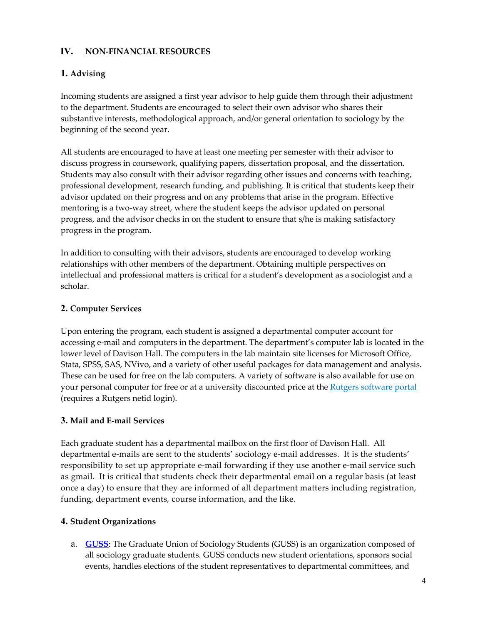### **IV. NON-FINANCIAL RESOURCES**

# **1. Advising**

Incoming students are assigned a first year advisor to help guide them through their adjustment to the department. Students are encouraged to select their own advisor who shares their substantive interests, methodological approach, and/or general orientation to sociology by the beginning of the second year.

All students are encouraged to have at least one meeting per semester with their advisor to discuss progress in coursework, qualifying papers, dissertation proposal, and the dissertation. Students may also consult with their advisor regarding other issues and concerns with teaching, professional development, research funding, and publishing. It is critical that students keep their advisor updated on their progress and on any problems that arise in the program. Effective mentoring is a two-way street, where the student keeps the advisor updated on personal progress, and the advisor checks in on the student to ensure that s/he is making satisfactory progress in the program.

In addition to consulting with their advisors, students are encouraged to develop working relationships with other members of the department. Obtaining multiple perspectives on intellectual and professional matters is critical for a student's development as a sociologist and a scholar.

# **2. Computer Services**

Upon entering the program, each student is assigned a departmental computer account for accessing e-mail and computers in the department. The department's computer lab is located in the lower level of Davison Hall. The computers in the lab maintain site licenses for Microsoft Office, Stata, SPSS, SAS, NVivo, and a variety of other useful packages for data management and analysis. These can be used for free on the lab computers. A variety of software is also available for use on your personal computer for free or at a university discounted price at th[e Rutgers software portal](https://software.rutgers.edu/) (requires a Rutgers netid login).

# **3. Mail and E-mail Services**

Each graduate student has a departmental mailbox on the first floor of Davison Hall. All departmental e-mails are sent to the students' sociology e-mail addresses. It is the students' responsibility to set up appropriate e-mail forwarding if they use another e-mail service such as gmail. It is critical that students check their departmental email on a regular basis (at least once a day) to ensure that they are informed of all department matters including registration, funding, department events, course information, and the like.

# **4. Student Organizations**

a. **[GUSS](https://sociology.rutgers.edu/academics/graduate/graduate-union-of-sociology-students-guss)**: The Graduate Union of Sociology Students (GUSS) is an organization composed of all sociology graduate students. GUSS conducts new student orientations, sponsors social events, handles elections of the student representatives to departmental committees, and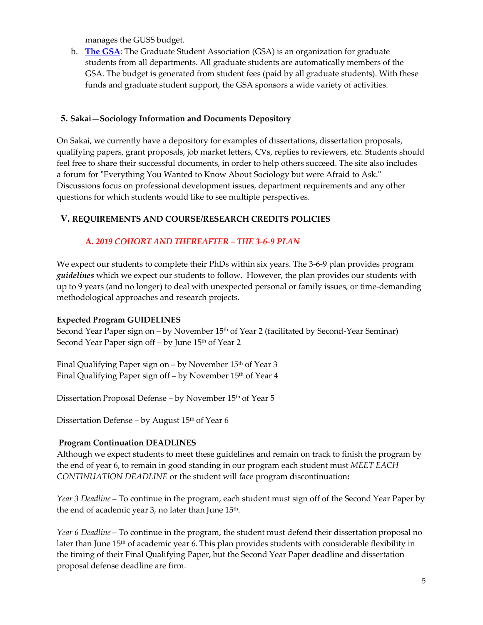manages the GUSS budget.

b. **[The GSA](http://gsa.rutgers.edu/)**: The Graduate Student Association (GSA) is an organization for graduate students from all departments. All graduate students are automatically members of the GSA. The budget is generated from student fees (paid by all graduate students). With these funds and graduate student support, the GSA sponsors a wide variety of activities.

### **5. Sakai—Sociology Information and Documents Depository**

On Sakai, we currently have a depository for examples of dissertations, dissertation proposals, qualifying papers, grant proposals, job market letters, CVs, replies to reviewers, etc. Students should feel free to share their successful documents, in order to help others succeed. The site also includes a forum for "Everything You Wanted to Know About Sociology but were Afraid to Ask." Discussions focus on professional development issues, department requirements and any other questions for which students would like to see multiple perspectives.

# **V. REQUIREMENTS AND COURSE/RESEARCH CREDITS POLICIES**

# **A.** *2019 COHORT AND THEREAFTER – THE 3-6-9 PLAN*

We expect our students to complete their PhDs within six years. The 3-6-9 plan provides program *guidelines* which we expect our students to follow. However, the plan provides our students with up to 9 years (and no longer) to deal with unexpected personal or family issues, or time-demanding methodological approaches and research projects.

### **Expected Program GUIDELINES**

Second Year Paper sign on – by November 15<sup>th</sup> of Year 2 (facilitated by Second-Year Seminar) Second Year Paper sign off – by June 15<sup>th</sup> of Year 2

Final Qualifying Paper sign on – by November 15<sup>th</sup> of Year 3 Final Qualifying Paper sign off – by November 15<sup>th</sup> of Year 4

Dissertation Proposal Defense – by November 15<sup>th</sup> of Year 5

Dissertation Defense – by August 15<sup>th</sup> of Year 6

# **Program Continuation DEADLINES**

Although we expect students to meet these guidelines and remain on track to finish the program by the end of year 6, to remain in good standing in our program each student must *MEET EACH CONTINUATION DEADLINE* or the student will face program discontinuation**:**

*Year 3 Deadline* – To continue in the program, each student must sign off of the Second Year Paper by the end of academic year 3, no later than June 15<sup>th</sup>.

*Year 6 Deadline* – To continue in the program, the student must defend their dissertation proposal no later than June 15<sup>th</sup> of academic year 6. This plan provides students with considerable flexibility in the timing of their Final Qualifying Paper, but the Second Year Paper deadline and dissertation proposal defense deadline are firm.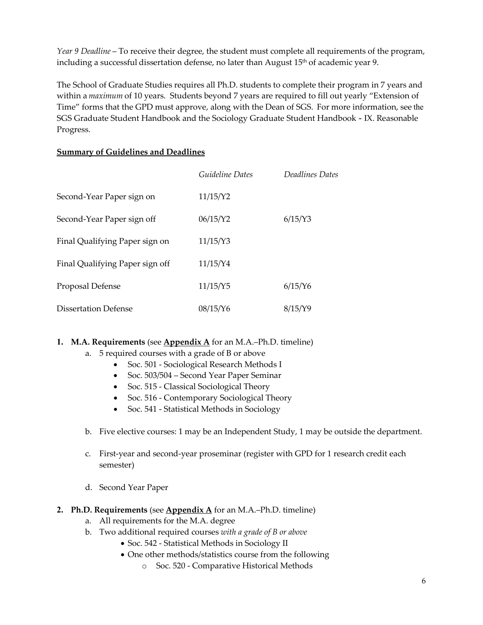*Year 9 Deadline* – To receive their degree, the student must complete all requirements of the program, including a successful dissertation defense, no later than August  $15<sup>th</sup>$  of academic year 9.

The School of Graduate Studies requires all Ph.D. students to complete their program in 7 years and within a *maximum* of 10 years. Students beyond 7 years are required to fill out yearly "Extension of Time" forms that the GPD must approve, along with the Dean of SGS. For more information, see the SGS Graduate Student Handbook and the Sociology Graduate Student Handbook - IX. Reasonable Progress.

### **Summary of Guidelines and Deadlines**

|                                 | Guideline Dates | Deadlines Dates |
|---------------------------------|-----------------|-----------------|
| Second-Year Paper sign on       | 11/15/Y2        |                 |
| Second-Year Paper sign off      | 06/15/Y2        | 6/15/Y3         |
| Final Qualifying Paper sign on  | 11/15/Y3        |                 |
| Final Qualifying Paper sign off | 11/15/Y4        |                 |
| Proposal Defense                | 11/15/Y5        | $6/15/Y$ 6      |
| Dissertation Defense            | 08/15/Y6        | 8/15/Y9         |

### **1. M.A. Requirements** (see **Appendix A** for an M.A.–Ph.D. timeline)

- a. 5 required courses with a grade of B or above
	- Soc. 501 Sociological Research Methods I
	- Soc. 503/504 Second Year Paper Seminar
	- Soc. 515 Classical Sociological Theory
	- Soc. 516 Contemporary Sociological Theory
	- Soc. 541 Statistical Methods in Sociology
- b. Five elective courses: 1 may be an Independent Study, 1 may be outside the department.
- c. First-year and second-year proseminar (register with GPD for 1 research credit each semester)
- d. Second Year Paper
- **2. Ph.D. Requirements** (see **Appendix A** for an M.A.–Ph.D. timeline)
	- a. All requirements for the M.A. degree
	- b. Two additional required courses *with a grade of B or above*
		- Soc. 542 Statistical Methods in Sociology II
			- One other methods/statistics course from the following
				- o Soc. 520 Comparative Historical Methods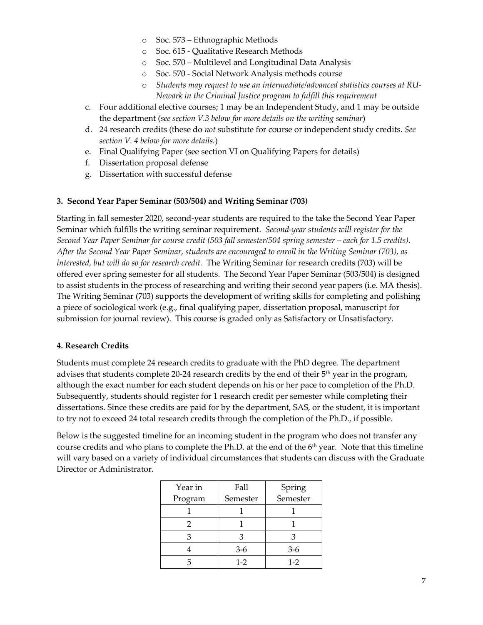- o Soc. 573 Ethnographic Methods
- o Soc. 615 Qualitative Research Methods
- o Soc. 570 Multilevel and Longitudinal Data Analysis
- o Soc. 570 Social Network Analysis methods course
- o *Students may request to use an intermediate/advanced statistics courses at RU-Newark in the Criminal Justice program to fulfill this requirement*
- c. Four additional elective courses; 1 may be an Independent Study, and 1 may be outside the department (*see section V.3 below for more details on the writing seminar*)
- d. 24 research credits (these do *not* substitute for course or independent study credits. *See section V. 4 below for more details.*)
- e. Final Qualifying Paper (see section VI on Qualifying Papers for details)
- f. Dissertation proposal defense
- g. Dissertation with successful defense

#### **3. Second Year Paper Seminar (503/504) and Writing Seminar (703)**

Starting in fall semester 2020, second-year students are required to the take the Second Year Paper Seminar which fulfills the writing seminar requirement. *Second-year students will register for the Second Year Paper Seminar for course credit (503 fall semester/504 spring semester – each for 1.5 credits). After the Second Year Paper Seminar, students are encouraged to enroll in the Writing Seminar (703), as interested, but will do so for research credit.* The Writing Seminar for research credits (703) will be offered ever spring semester for all students. The Second Year Paper Seminar (503/504) is designed to assist students in the process of researching and writing their second year papers (i.e. MA thesis). The Writing Seminar (703) supports the development of writing skills for completing and polishing a piece of sociological work (e.g., final qualifying paper, dissertation proposal, manuscript for submission for journal review). This course is graded only as Satisfactory or Unsatisfactory.

#### **4. Research Credits**

Students must complete 24 research credits to graduate with the PhD degree. The department advises that students complete 20-24 research credits by the end of their 5<sup>th</sup> year in the program, although the exact number for each student depends on his or her pace to completion of the Ph.D. Subsequently, students should register for 1 research credit per semester while completing their dissertations. Since these credits are paid for by the department, SAS, or the student, it is important to try not to exceed 24 total research credits through the completion of the Ph.D., if possible.

Below is the suggested timeline for an incoming student in the program who does not transfer any course credits and who plans to complete the Ph.D. at the end of the 6<sup>th</sup> year. Note that this timeline will vary based on a variety of individual circumstances that students can discuss with the Graduate Director or Administrator.

| Year in | Fall     | Spring   |
|---------|----------|----------|
| Program | Semester | Semester |
|         |          |          |
|         |          |          |
|         |          |          |
|         | $3-6$    | $3-6$    |
|         | $1 - 2$  | $1-2$    |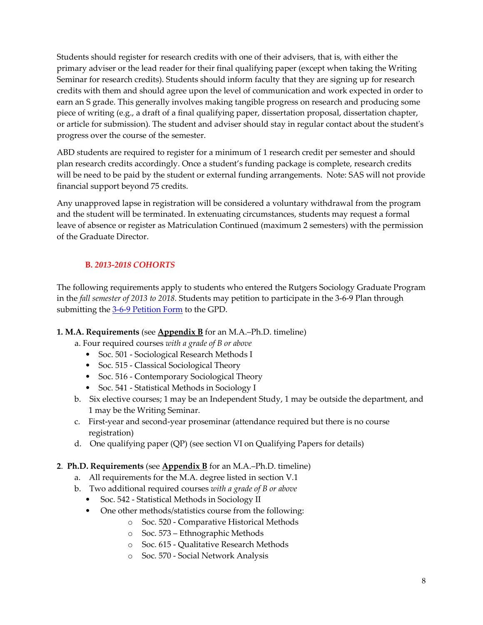Students should register for research credits with one of their advisers, that is, with either the primary adviser or the lead reader for their final qualifying paper (except when taking the Writing Seminar for research credits). Students should inform faculty that they are signing up for research credits with them and should agree upon the level of communication and work expected in order to earn an S grade. This generally involves making tangible progress on research and producing some piece of writing (e.g., a draft of a final qualifying paper, dissertation proposal, dissertation chapter, or article for submission). The student and adviser should stay in regular contact about the student's progress over the course of the semester.

ABD students are required to register for a minimum of 1 research credit per semester and should plan research credits accordingly. Once a student's funding package is complete, research credits will be need to be paid by the student or external funding arrangements. Note: SAS will not provide financial support beyond 75 credits.

Any unapproved lapse in registration will be considered a voluntary withdrawal from the program and the student will be terminated. In extenuating circumstances, students may request a formal leave of absence or register as Matriculation Continued (maximum 2 semesters) with the permission of the Graduate Director.

# **B.** *2013-2018 COHORTS*

The following requirements apply to students who entered the Rutgers Sociology Graduate Program in the *fall semester of 2013 to 2018.* Students may petition to participate in the 3-6-9 Plan through submitting th[e 3-6-9 Petition Form](https://sociology.rutgers.edu/academics/graduate/forms) to the GPD.

### **1. M.A. Requirements** (see **Appendix B** for an M.A.–Ph.D. timeline)

a. Four required courses *with a grade of B or above*

- Soc. 501 Sociological Research Methods I
- Soc. 515 Classical Sociological Theory
- Soc. 516 Contemporary Sociological Theory
- Soc. 541 Statistical Methods in Sociology I
- b. Six elective courses; 1 may be an Independent Study, 1 may be outside the department, and 1 may be the Writing Seminar.
- c. First-year and second-year proseminar (attendance required but there is no course registration)
- d. One qualifying paper (QP) (see section VI on Qualifying Papers for details)

### **2**. **Ph.D. Requirements** (see **Appendix B** for an M.A.–Ph.D. timeline)

- a. All requirements for the M.A. degree listed in section V.1
- b. Two additional required courses *with a grade of B or above*
	- Soc. 542 Statistical Methods in Sociology II
	- One other methods/statistics course from the following:
		- o Soc. 520 Comparative Historical Methods
		- o Soc. 573 Ethnographic Methods
		- o Soc. 615 Qualitative Research Methods
		- o Soc. 570 Social Network Analysis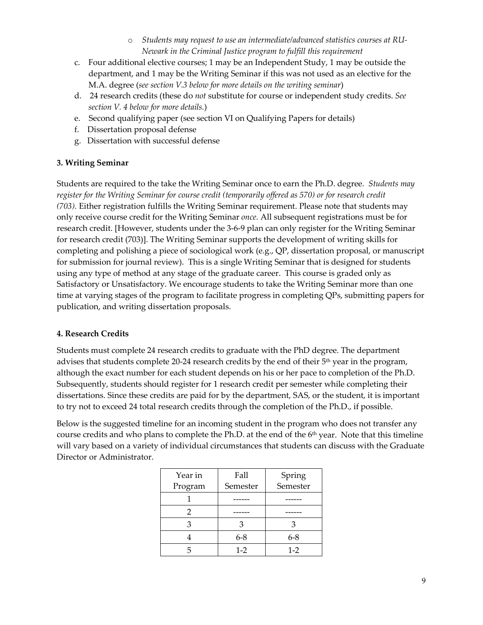- o *Students may request to use an intermediate/advanced statistics courses at RU-Newark in the Criminal Justice program to fulfill this requirement*
- c. Four additional elective courses; 1 may be an Independent Study, 1 may be outside the department, and 1 may be the Writing Seminar if this was not used as an elective for the M.A. degree (*see section V.3 below for more details on the writing seminar*)
- d. 24 research credits (these do *not* substitute for course or independent study credits. *See section V. 4 below for more details.*)
- e. Second qualifying paper (see section VI on Qualifying Papers for details)
- f. Dissertation proposal defense
- g. Dissertation with successful defense

### **3. Writing Seminar**

Students are required to the take the Writing Seminar once to earn the Ph.D. degree. *Students may register for the Writing Seminar for course credit (temporarily offered as 570) or for research credit (703).* Either registration fulfills the Writing Seminar requirement. Please note that students may only receive course credit for the Writing Seminar *once.* All subsequent registrations must be for research credit. [However, students under the 3-6-9 plan can only register for the Writing Seminar for research credit (703)]. The Writing Seminar supports the development of writing skills for completing and polishing a piece of sociological work (e.g., QP, dissertation proposal, or manuscript for submission for journal review). This is a single Writing Seminar that is designed for students using any type of method at any stage of the graduate career. This course is graded only as Satisfactory or Unsatisfactory. We encourage students to take the Writing Seminar more than one time at varying stages of the program to facilitate progress in completing QPs, submitting papers for publication, and writing dissertation proposals.

### **4. Research Credits**

Students must complete 24 research credits to graduate with the PhD degree. The department advises that students complete 20-24 research credits by the end of their 5<sup>th</sup> year in the program, although the exact number for each student depends on his or her pace to completion of the Ph.D. Subsequently, students should register for 1 research credit per semester while completing their dissertations. Since these credits are paid for by the department, SAS, or the student, it is important to try not to exceed 24 total research credits through the completion of the Ph.D., if possible.

Below is the suggested timeline for an incoming student in the program who does not transfer any course credits and who plans to complete the Ph.D. at the end of the 6<sup>th</sup> year. Note that this timeline will vary based on a variety of individual circumstances that students can discuss with the Graduate Director or Administrator.

| Year in | Fall     | Spring   |
|---------|----------|----------|
| Program | Semester | Semester |
|         |          |          |
|         |          |          |
|         |          | З        |
|         | $6 - 8$  | $6 - 8$  |
|         | $1 - 2$  | $1-2$    |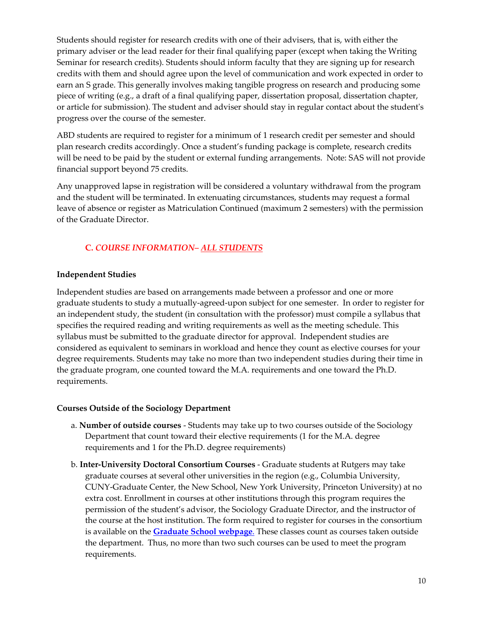Students should register for research credits with one of their advisers, that is, with either the primary adviser or the lead reader for their final qualifying paper (except when taking the Writing Seminar for research credits). Students should inform faculty that they are signing up for research credits with them and should agree upon the level of communication and work expected in order to earn an S grade. This generally involves making tangible progress on research and producing some piece of writing (e.g., a draft of a final qualifying paper, dissertation proposal, dissertation chapter, or article for submission). The student and adviser should stay in regular contact about the student's progress over the course of the semester.

ABD students are required to register for a minimum of 1 research credit per semester and should plan research credits accordingly. Once a student's funding package is complete, research credits will be need to be paid by the student or external funding arrangements. Note: SAS will not provide financial support beyond 75 credits.

Any unapproved lapse in registration will be considered a voluntary withdrawal from the program and the student will be terminated. In extenuating circumstances, students may request a formal leave of absence or register as Matriculation Continued (maximum 2 semesters) with the permission of the Graduate Director.

# **C.** *COURSE INFORMATION– ALL STUDENTS*

#### **Independent Studies**

Independent studies are based on arrangements made between a professor and one or more graduate students to study a mutually-agreed-upon subject for one semester. In order to register for an independent study, the student (in consultation with the professor) must compile a syllabus that specifies the required reading and writing requirements as well as the meeting schedule. This syllabus must be submitted to the graduate director for approval. Independent studies are considered as equivalent to seminars in workload and hence they count as elective courses for your degree requirements. Students may take no more than two independent studies during their time in the graduate program, one counted toward the M.A. requirements and one toward the Ph.D. requirements.

### **Courses Outside of the Sociology Department**

- a. **Number of outside courses** Students may take up to two courses outside of the Sociology Department that count toward their elective requirements (1 for the M.A. degree requirements and 1 for the Ph.D. degree requirements)
- b. **Inter-University Doctoral Consortium Courses** Graduate students at Rutgers may take graduate courses at several other universities in the region (e.g., Columbia University, CUNY-Graduate Center, the New School, New York University, Princeton University) at no extra cost. Enrollment in courses at other institutions through this program requires the permission of the student's advisor, the Sociology Graduate Director, and the instructor of the course at the host institution. The form required to register for courses in the consortium is available on the **[Graduate School webpage](https://gsnb.rutgers.edu/academics/inter-university-doctoral-consortium)**. These classes count as courses taken outside the department. Thus, no more than two such courses can be used to meet the program requirements.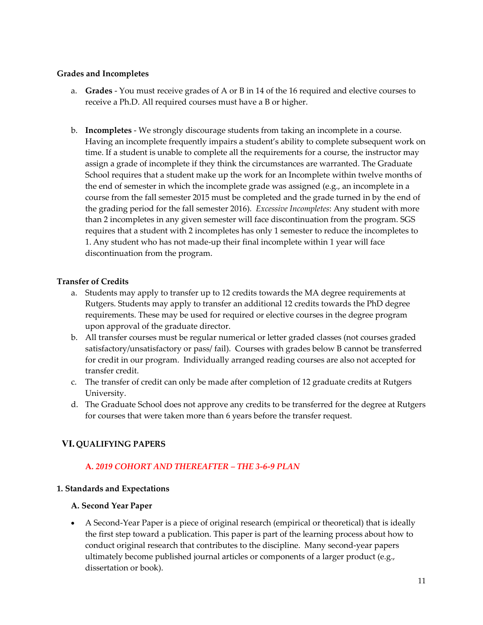#### **Grades and Incompletes**

- a. **Grades** You must receive grades of A or B in 14 of the 16 required and elective courses to receive a Ph.D. All required courses must have a B or higher.
- b. **Incompletes** We strongly discourage students from taking an incomplete in a course. Having an incomplete frequently impairs a student's ability to complete subsequent work on time. If a student is unable to complete all the requirements for a course, the instructor may assign a grade of incomplete if they think the circumstances are warranted. The Graduate School requires that a student make up the work for an Incomplete within twelve months of the end of semester in which the incomplete grade was assigned (e.g., an incomplete in a course from the fall semester 2015 must be completed and the grade turned in by the end of the grading period for the fall semester 2016). *Excessive Incompletes*: Any student with more than 2 incompletes in any given semester will face discontinuation from the program. SGS requires that a student with 2 incompletes has only 1 semester to reduce the incompletes to 1. Any student who has not made-up their final incomplete within 1 year will face discontinuation from the program.

#### **Transfer of Credits**

- a. Students may apply to transfer up to 12 credits towards the MA degree requirements at Rutgers. Students may apply to transfer an additional 12 credits towards the PhD degree requirements. These may be used for required or elective courses in the degree program upon approval of the graduate director.
- b. All transfer courses must be regular numerical or letter graded classes (not courses graded satisfactory/unsatisfactory or pass/ fail). Courses with grades below B cannot be transferred for credit in our program. Individually arranged reading courses are also not accepted for transfer credit.
- c. The transfer of credit can only be made after completion of 12 graduate credits at Rutgers University.
- d. The Graduate School does not approve any credits to be transferred for the degree at Rutgers for courses that were taken more than 6 years before the transfer request.

# **VI. QUALIFYING PAPERS**

### **A.** *2019 COHORT AND THEREAFTER – THE 3-6-9 PLAN*

### **1. Standards and Expectations**

### **A. Second Year Paper**

• A Second-Year Paper is a piece of original research (empirical or theoretical) that is ideally the first step toward a publication. This paper is part of the learning process about how to conduct original research that contributes to the discipline. Many second-year papers ultimately become published journal articles or components of a larger product (e.g., dissertation or book).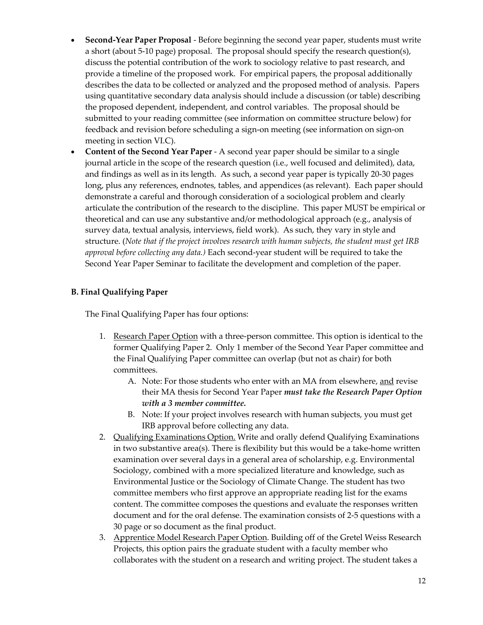- **Second-Year Paper Proposal** Before beginning the second year paper, students must write a short (about 5-10 page) proposal. The proposal should specify the research question(s), discuss the potential contribution of the work to sociology relative to past research, and provide a timeline of the proposed work. For empirical papers, the proposal additionally describes the data to be collected or analyzed and the proposed method of analysis. Papers using quantitative secondary data analysis should include a discussion (or table) describing the proposed dependent, independent, and control variables. The proposal should be submitted to your reading committee (see information on committee structure below) for feedback and revision before scheduling a sign-on meeting (see information on sign-on meeting in section VI.C).
- **Content of the Second Year Paper** A second year paper should be similar to a single journal article in the scope of the research question (i.e., well focused and delimited), data, and findings as well as in its length. As such, a second year paper is typically 20-30 pages long, plus any references, endnotes, tables, and appendices (as relevant). Each paper should demonstrate a careful and thorough consideration of a sociological problem and clearly articulate the contribution of the research to the discipline. This paper MUST be empirical or theoretical and can use any substantive and/or methodological approach (e.g., analysis of survey data, textual analysis, interviews, field work). As such, they vary in style and structure. (*Note that if the project involves research with human subjects, the student must get IRB approval before collecting any data.)* Each second-year student will be required to take the Second Year Paper Seminar to facilitate the development and completion of the paper.

### **B. Final Qualifying Paper**

The Final Qualifying Paper has four options:

- 1. Research Paper Option with a three-person committee. This option is identical to the former Qualifying Paper 2. Only 1 member of the Second Year Paper committee and the Final Qualifying Paper committee can overlap (but not as chair) for both committees.
	- A. Note: For those students who enter with an MA from elsewhere, and revise their MA thesis for Second Year Paper *must take the Research Paper Option with a 3 member committee.*
	- B. Note: If your project involves research with human subjects, you must get IRB approval before collecting any data.
- 2. Qualifying Examinations Option. Write and orally defend Qualifying Examinations in two substantive area(s). There is flexibility but this would be a take-home written examination over several days in a general area of scholarship, e.g. Environmental Sociology, combined with a more specialized literature and knowledge, such as Environmental Justice or the Sociology of Climate Change. The student has two committee members who first approve an appropriate reading list for the exams content. The committee composes the questions and evaluate the responses written document and for the oral defense. The examination consists of 2-5 questions with a 30 page or so document as the final product.
- 3. Apprentice Model Research Paper Option. Building off of the Gretel Weiss Research Projects, this option pairs the graduate student with a faculty member who collaborates with the student on a research and writing project. The student takes a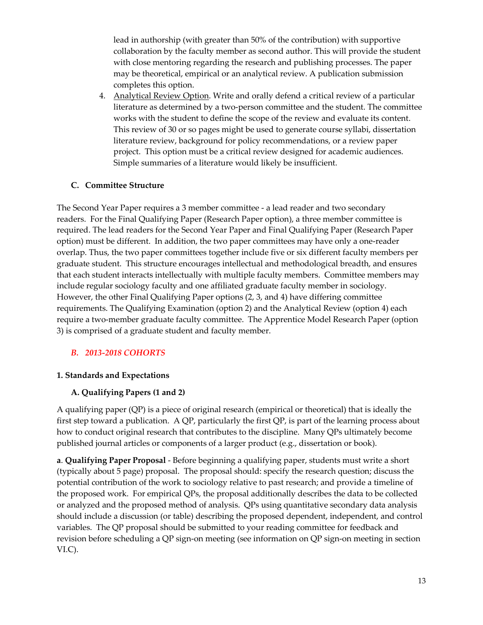lead in authorship (with greater than 50% of the contribution) with supportive collaboration by the faculty member as second author. This will provide the student with close mentoring regarding the research and publishing processes. The paper may be theoretical, empirical or an analytical review. A publication submission completes this option.

4. Analytical Review Option. Write and orally defend a critical review of a particular literature as determined by a two-person committee and the student. The committee works with the student to define the scope of the review and evaluate its content. This review of 30 or so pages might be used to generate course syllabi, dissertation literature review, background for policy recommendations, or a review paper project. This option must be a critical review designed for academic audiences. Simple summaries of a literature would likely be insufficient.

#### **C. Committee Structure**

The Second Year Paper requires a 3 member committee - a lead reader and two secondary readers. For the Final Qualifying Paper (Research Paper option), a three member committee is required. The lead readers for the Second Year Paper and Final Qualifying Paper (Research Paper option) must be different. In addition, the two paper committees may have only a one-reader overlap. Thus, the two paper committees together include five or six different faculty members per graduate student. This structure encourages intellectual and methodological breadth, and ensures that each student interacts intellectually with multiple faculty members. Committee members may include regular sociology faculty and one affiliated graduate faculty member in sociology. However, the other Final Qualifying Paper options (2, 3, and 4) have differing committee requirements. The Qualifying Examination (option 2) and the Analytical Review (option 4) each require a two-member graduate faculty committee. The Apprentice Model Research Paper (option 3) is comprised of a graduate student and faculty member.

### *B. 2013-2018 COHORTS*

#### **1. Standards and Expectations**

### **A. Qualifying Papers (1 and 2)**

A qualifying paper (QP) is a piece of original research (empirical or theoretical) that is ideally the first step toward a publication. A QP, particularly the first QP, is part of the learning process about how to conduct original research that contributes to the discipline. Many QPs ultimately become published journal articles or components of a larger product (e.g., dissertation or book).

**a**. **Qualifying Paper Proposal** - Before beginning a qualifying paper, students must write a short (typically about 5 page) proposal. The proposal should: specify the research question; discuss the potential contribution of the work to sociology relative to past research; and provide a timeline of the proposed work. For empirical QPs, the proposal additionally describes the data to be collected or analyzed and the proposed method of analysis. QPs using quantitative secondary data analysis should include a discussion (or table) describing the proposed dependent, independent, and control variables. The QP proposal should be submitted to your reading committee for feedback and revision before scheduling a QP sign-on meeting (see information on QP sign-on meeting in section VI.C).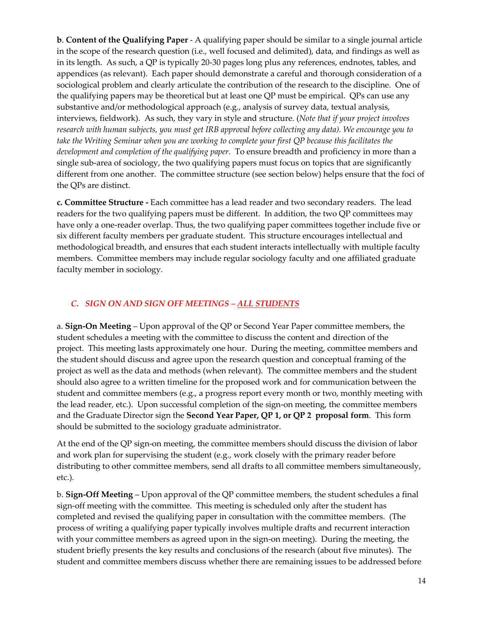**b**. **Content of the Qualifying Paper** - A qualifying paper should be similar to a single journal article in the scope of the research question (i.e., well focused and delimited), data, and findings as well as in its length. As such, a QP is typically 20-30 pages long plus any references, endnotes, tables, and appendices (as relevant). Each paper should demonstrate a careful and thorough consideration of a sociological problem and clearly articulate the contribution of the research to the discipline. One of the qualifying papers may be theoretical but at least one QP must be empirical. QPs can use any substantive and/or methodological approach (e.g., analysis of survey data, textual analysis, interviews, fieldwork). As such, they vary in style and structure. (*Note that if your project involves research with human subjects, you must get IRB approval before collecting any data). We encourage you to take the Writing Seminar when you are working to complete your first QP because this facilitates the development and completion of the qualifying paper.* To ensure breadth and proficiency in more than a single sub-area of sociology, the two qualifying papers must focus on topics that are significantly different from one another. The committee structure (see section below) helps ensure that the foci of the QPs are distinct.

**c. Committee Structure -** Each committee has a lead reader and two secondary readers. The lead readers for the two qualifying papers must be different. In addition, the two QP committees may have only a one-reader overlap. Thus, the two qualifying paper committees together include five or six different faculty members per graduate student. This structure encourages intellectual and methodological breadth, and ensures that each student interacts intellectually with multiple faculty members. Committee members may include regular sociology faculty and one affiliated graduate faculty member in sociology.

### *C. SIGN ON AND SIGN OFF MEETINGS – ALL STUDENTS*

a. **Sign-On Meeting** – Upon approval of the QP or Second Year Paper committee members, the student schedules a meeting with the committee to discuss the content and direction of the project. This meeting lasts approximately one hour. During the meeting, committee members and the student should discuss and agree upon the research question and conceptual framing of the project as well as the data and methods (when relevant). The committee members and the student should also agree to a written timeline for the proposed work and for communication between the student and committee members (e.g., a progress report every month or two, monthly meeting with the lead reader, etc.). Upon successful completion of the sign-on meeting, the committee members and the Graduate Director sign the **Second Year Paper, QP 1, or QP 2 [proposal form](https://sociology.rutgers.edu/academics/graduate/forms)**. This form should be submitted to the sociology graduate administrator.

At the end of the QP sign-on meeting, the committee members should discuss the division of labor and work plan for supervising the student (e.g., work closely with the primary reader before distributing to other committee members, send all drafts to all committee members simultaneously, etc.).

b. **Sign-Off Meeting** – Upon approval of the QP committee members, the student schedules a final sign-off meeting with the committee. This meeting is scheduled only after the student has completed and revised the qualifying paper in consultation with the committee members. (The process of writing a qualifying paper typically involves multiple drafts and recurrent interaction with your committee members as agreed upon in the sign-on meeting). During the meeting, the student briefly presents the key results and conclusions of the research (about five minutes). The student and committee members discuss whether there are remaining issues to be addressed before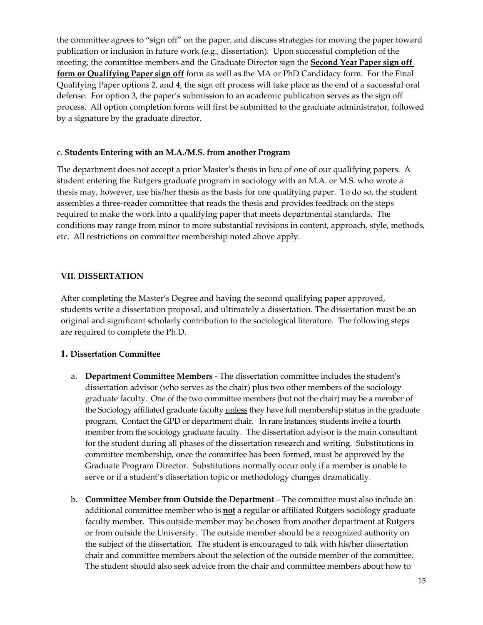the committee agrees to "sign off" on the paper, and discuss strategies for moving the paper toward publication or inclusion in future work (e.g., dissertation). Upon successful completion of the meeting, the committee members and the Graduate Director sign the **Second Year Paper sign off form o[r Qualifying Paper sign off](https://sociology.rutgers.edu/academics/graduate/forms)** form as well as the MA or PhD Candidacy form. For the Final Qualifying Paper options 2, and 4, the sign off process will take place as the end of a successful oral defense. For option 3, the paper's submission to an academic publication serves as the sign off process. All option completion forms will first be submitted to the graduate administrator, followed by a signature by the graduate director.

#### c. **Students Entering with an M.A./M.S. from another Program**

The department does not accept a prior Master's thesis in lieu of one of our qualifying papers. A student entering the Rutgers graduate program in sociology with an M.A. or M.S. who wrote a thesis may, however, use his/her thesis as the basis for one qualifying paper. To do so, the student assembles a three-reader committee that reads the thesis and provides feedback on the steps required to make the work into a qualifying paper that meets departmental standards. The conditions may range from minor to more substantial revisions in content, approach, style, methods, etc. All restrictions on committee membership noted above apply.

### **VII. DISSERTATION**

After completing the Master's Degree and having the second qualifying paper approved, students write a dissertation proposal, and ultimately a dissertation. The dissertation must be an original and significant scholarly contribution to the sociological literature. The following steps are required to complete the Ph.D.

### **1. Dissertation Committee**

- a. **Department Committee Members** The dissertation committee includes the student's dissertation advisor (who serves as the chair) plus two other members of the sociology graduate faculty. One of the two committee members (but not the chair) may be a member of the Sociology affiliated graduate faculty unless they have full membership status in the graduate program. Contact the GPD or department chair. In rare instances, students invite a fourth member from the sociology graduate faculty. The dissertation advisor is the main consultant for the student during all phases of the dissertation research and writing. Substitutions in committee membership, once the committee has been formed, must be approved by the Graduate Program Director. Substitutions normally occur only if a member is unable to serve or if a student's dissertation topic or methodology changes dramatically.
- b. **Committee Member from Outside the Department** The committee must also include an additional committee member who is **not** a regular or affiliated Rutgers sociology graduate faculty member. This outside member may be chosen from another department at Rutgers or from outside the University. The outside member should be a recognized authority on the subject of the dissertation. The student is encouraged to talk with his/her dissertation chair and committee members about the selection of the outside member of the committee. The student should also seek advice from the chair and committee members about how to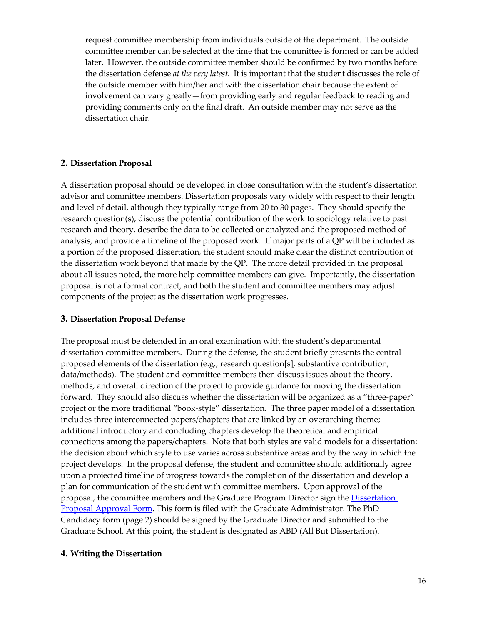request committee membership from individuals outside of the department. The outside committee member can be selected at the time that the committee is formed or can be added later. However, the outside committee member should be confirmed by two months before the dissertation defense *at the very latest*. It is important that the student discusses the role of the outside member with him/her and with the dissertation chair because the extent of involvement can vary greatly—from providing early and regular feedback to reading and providing comments only on the final draft. An outside member may not serve as the dissertation chair.

### **2. Dissertation Proposal**

A dissertation proposal should be developed in close consultation with the student's dissertation advisor and committee members. Dissertation proposals vary widely with respect to their length and level of detail, although they typically range from 20 to 30 pages. They should specify the research question(s), discuss the potential contribution of the work to sociology relative to past research and theory, describe the data to be collected or analyzed and the proposed method of analysis, and provide a timeline of the proposed work. If major parts of a QP will be included as a portion of the proposed dissertation, the student should make clear the distinct contribution of the dissertation work beyond that made by the QP. The more detail provided in the proposal about all issues noted, the more help committee members can give. Importantly, the dissertation proposal is not a formal contract, and both the student and committee members may adjust components of the project as the dissertation work progresses.

#### **3. Dissertation Proposal Defense**

The proposal must be defended in an oral examination with the student's departmental dissertation committee members. During the defense, the student briefly presents the central proposed elements of the dissertation (e.g., research question[s], substantive contribution, data/methods). The student and committee members then discuss issues about the theory, methods, and overall direction of the project to provide guidance for moving the dissertation forward. They should also discuss whether the dissertation will be organized as a "three-paper" project or the more traditional "book-style" dissertation. The three paper model of a dissertation includes three interconnected papers/chapters that are linked by an overarching theme; additional introductory and concluding chapters develop the theoretical and empirical connections among the papers/chapters. Note that both styles are valid models for a dissertation; the decision about which style to use varies across substantive areas and by the way in which the project develops. In the proposal defense, the student and committee should additionally agree upon a projected timeline of progress towards the completion of the dissertation and develop a plan for communication of the student with committee members. Upon approval of the proposal, the committee members and the Graduate Program Director sign the **Dissertation** [Proposal Approval Form.](https://sociology.rutgers.edu/academics/graduate/forms) This form is filed with the Graduate Administrator. The PhD Candidacy form (page 2) should be signed by the Graduate Director and submitted to the Graduate School. At this point, the student is designated as ABD (All But Dissertation).

#### **4. Writing the Dissertation**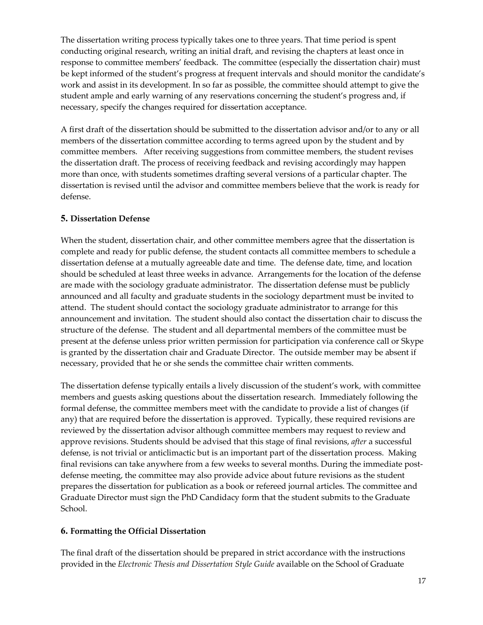The dissertation writing process typically takes one to three years. That time period is spent conducting original research, writing an initial draft, and revising the chapters at least once in response to committee members' feedback. The committee (especially the dissertation chair) must be kept informed of the student's progress at frequent intervals and should monitor the candidate's work and assist in its development. In so far as possible, the committee should attempt to give the student ample and early warning of any reservations concerning the student's progress and, if necessary, specify the changes required for dissertation acceptance.

A first draft of the dissertation should be submitted to the dissertation advisor and/or to any or all members of the dissertation committee according to terms agreed upon by the student and by committee members. After receiving suggestions from committee members, the student revises the dissertation draft. The process of receiving feedback and revising accordingly may happen more than once, with students sometimes drafting several versions of a particular chapter. The dissertation is revised until the advisor and committee members believe that the work is ready for defense.

#### **5. Dissertation Defense**

When the student, dissertation chair, and other committee members agree that the dissertation is complete and ready for public defense, the student contacts all committee members to schedule a dissertation defense at a mutually agreeable date and time. The defense date, time, and location should be scheduled at least three weeks in advance. Arrangements for the location of the defense are made with the sociology graduate administrator. The dissertation defense must be publicly announced and all faculty and graduate students in the sociology department must be invited to attend. The student should contact the sociology graduate administrator to arrange for this announcement and invitation. The student should also contact the dissertation chair to discuss the structure of the defense. The student and all departmental members of the committee must be present at the defense unless prior written permission for participation via conference call or Skype is granted by the dissertation chair and Graduate Director. The outside member may be absent if necessary, provided that he or she sends the committee chair written comments.

The dissertation defense typically entails a lively discussion of the student's work, with committee members and guests asking questions about the dissertation research. Immediately following the formal defense, the committee members meet with the candidate to provide a list of changes (if any) that are required before the dissertation is approved. Typically, these required revisions are reviewed by the dissertation advisor although committee members may request to review and approve revisions. Students should be advised that this stage of final revisions, *after* a successful defense, is not trivial or anticlimactic but is an important part of the dissertation process. Making final revisions can take anywhere from a few weeks to several months. During the immediate postdefense meeting, the committee may also provide advice about future revisions as the student prepares the dissertation for publication as a book or refereed journal articles. The committee and Graduate Director must sign the PhD Candidacy form that the student submits to the Graduate School.

### **6. Formatting the Official Dissertation**

The final draft of the dissertation should be prepared in strict accordance with the instructions provided in the *Electronic Thesis and Dissertation Style Guide* available on the School of Graduate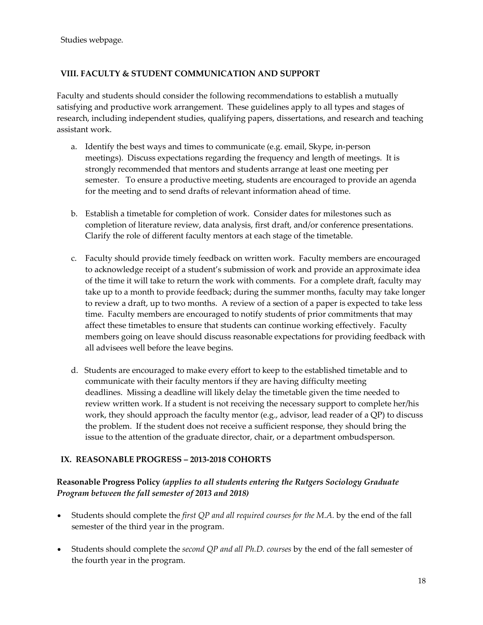Studies webpage.

### **VIII. FACULTY & STUDENT COMMUNICATION AND SUPPORT**

Faculty and students should consider the following recommendations to establish a mutually satisfying and productive work arrangement. These guidelines apply to all types and stages of research, including independent studies, qualifying papers, dissertations, and research and teaching assistant work.

- a. Identify the best ways and times to communicate (e.g. email, Skype, in-person meetings). Discuss expectations regarding the frequency and length of meetings. It is strongly recommended that mentors and students arrange at least one meeting per semester. To ensure a productive meeting, students are encouraged to provide an agenda for the meeting and to send drafts of relevant information ahead of time.
- b. Establish a timetable for completion of work. Consider dates for milestones such as completion of literature review, data analysis, first draft, and/or conference presentations. Clarify the role of different faculty mentors at each stage of the timetable.
- c. Faculty should provide timely feedback on written work. Faculty members are encouraged to acknowledge receipt of a student's submission of work and provide an approximate idea of the time it will take to return the work with comments. For a complete draft, faculty may take up to a month to provide feedback; during the summer months, faculty may take longer to review a draft, up to two months. A review of a section of a paper is expected to take less time. Faculty members are encouraged to notify students of prior commitments that may affect these timetables to ensure that students can continue working effectively. Faculty members going on leave should discuss reasonable expectations for providing feedback with all advisees well before the leave begins.
- d. Students are encouraged to make every effort to keep to the established timetable and to communicate with their faculty mentors if they are having difficulty meeting deadlines. Missing a deadline will likely delay the timetable given the time needed to review written work. If a student is not receiving the necessary support to complete her/his work, they should approach the faculty mentor (e.g., advisor, lead reader of a QP) to discuss the problem. If the student does not receive a sufficient response, they should bring the issue to the attention of the graduate director, chair, or a department ombudsperson.

### **IX. REASONABLE PROGRESS – 2013-2018 COHORTS**

### **Reasonable Progress Policy** *(applies to all students entering the Rutgers Sociology Graduate Program between the fall semester of 2013 and 2018)*

- Students should complete the *first QP and all required courses for the M.A.* by the end of the fall semester of the third year in the program.
- Students should complete the *second QP and all Ph.D. courses* by the end of the fall semester of the fourth year in the program.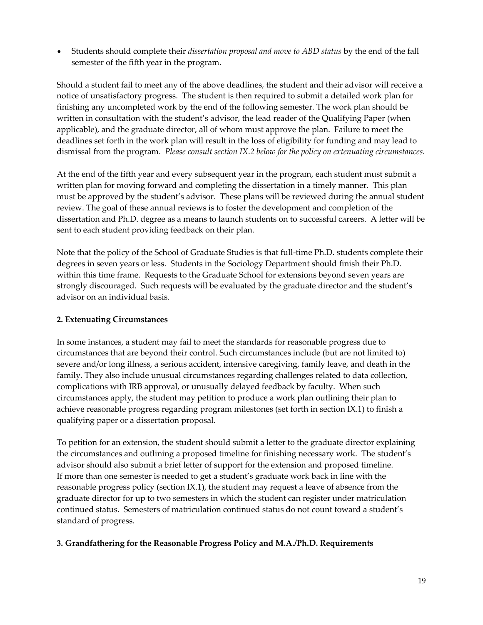• Students should complete their *dissertation proposal and move to ABD status* by the end of the fall semester of the fifth year in the program.

Should a student fail to meet any of the above deadlines, the student and their advisor will receive a notice of unsatisfactory progress. The student is then required to submit a detailed work plan for finishing any uncompleted work by the end of the following semester. The work plan should be written in consultation with the student's advisor, the lead reader of the Qualifying Paper (when applicable), and the graduate director, all of whom must approve the plan. Failure to meet the deadlines set forth in the work plan will result in the loss of eligibility for funding and may lead to dismissal from the program. *Please consult section IX.2 below for the policy on extenuating circumstances.*

At the end of the fifth year and every subsequent year in the program, each student must submit a written plan for moving forward and completing the dissertation in a timely manner. This plan must be approved by the student's advisor. These plans will be reviewed during the annual student review. The goal of these annual reviews is to foster the development and completion of the dissertation and Ph.D. degree as a means to launch students on to successful careers. A letter will be sent to each student providing feedback on their plan.

Note that the policy of the School of Graduate Studies is that full-time Ph.D. students complete their degrees in seven years or less. Students in the Sociology Department should finish their Ph.D. within this time frame. Requests to the Graduate School for extensions beyond seven years are strongly discouraged. Such requests will be evaluated by the graduate director and the student's advisor on an individual basis.

### **2. Extenuating Circumstances**

In some instances, a student may fail to meet the standards for reasonable progress due to circumstances that are beyond their control. Such circumstances include (but are not limited to) severe and/or long illness, a serious accident, intensive caregiving, family leave, and death in the family. They also include unusual circumstances regarding challenges related to data collection, complications with IRB approval, or unusually delayed feedback by faculty. When such circumstances apply, the student may petition to produce a work plan outlining their plan to achieve reasonable progress regarding program milestones (set forth in section IX.1) to finish a qualifying paper or a dissertation proposal.

To petition for an extension, the student should submit a letter to the graduate director explaining the circumstances and outlining a proposed timeline for finishing necessary work. The student's advisor should also submit a brief letter of support for the extension and proposed timeline. If more than one semester is needed to get a student's graduate work back in line with the reasonable progress policy (section IX.1), the student may request a leave of absence from the graduate director for up to two semesters in which the student can register under matriculation continued status. Semesters of matriculation continued status do not count toward a student's standard of progress.

### **3. Grandfathering for the Reasonable Progress Policy and M.A./Ph.D. Requirements**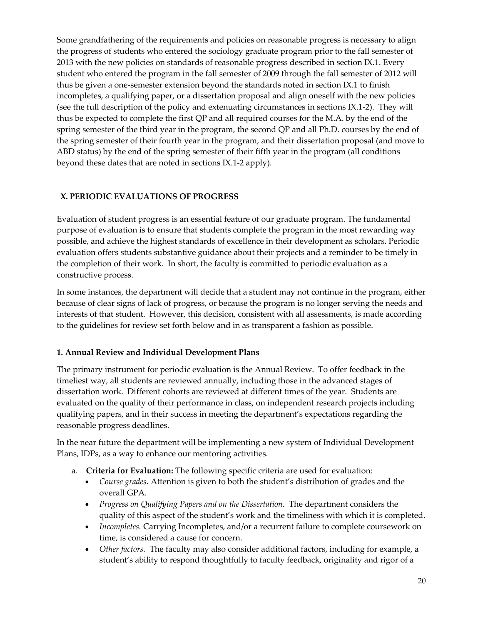Some grandfathering of the requirements and policies on reasonable progress is necessary to align the progress of students who entered the sociology graduate program prior to the fall semester of 2013 with the new policies on standards of reasonable progress described in section IX.1. Every student who entered the program in the fall semester of 2009 through the fall semester of 2012 will thus be given a one-semester extension beyond the standards noted in section IX.1 to finish incompletes, a qualifying paper, or a dissertation proposal and align oneself with the new policies (see the full description of the policy and extenuating circumstances in sections IX.1-2). They will thus be expected to complete the first QP and all required courses for the M.A. by the end of the spring semester of the third year in the program, the second QP and all Ph.D. courses by the end of the spring semester of their fourth year in the program, and their dissertation proposal (and move to ABD status) by the end of the spring semester of their fifth year in the program (all conditions beyond these dates that are noted in sections IX.1-2 apply).

### **X. PERIODIC EVALUATIONS OF PROGRESS**

Evaluation of student progress is an essential feature of our graduate program. The fundamental purpose of evaluation is to ensure that students complete the program in the most rewarding way possible, and achieve the highest standards of excellence in their development as scholars. Periodic evaluation offers students substantive guidance about their projects and a reminder to be timely in the completion of their work. In short, the faculty is committed to periodic evaluation as a constructive process.

In some instances, the department will decide that a student may not continue in the program, either because of clear signs of lack of progress, or because the program is no longer serving the needs and interests of that student. However, this decision, consistent with all assessments, is made according to the guidelines for review set forth below and in as transparent a fashion as possible.

### **1. Annual Review and Individual Development Plans**

The primary instrument for periodic evaluation is the Annual Review. To offer feedback in the timeliest way, all students are reviewed annually, including those in the advanced stages of dissertation work. Different cohorts are reviewed at different times of the year. Students are evaluated on the quality of their performance in class, on independent research projects including qualifying papers, and in their success in meeting the department's expectations regarding the reasonable progress deadlines.

In the near future the department will be implementing a new system of Individual Development Plans, IDPs, as a way to enhance our mentoring activities.

- a. **Criteria for Evaluation:** The following specific criteria are used for evaluation:
	- *Course grades.* Attention is given to both the student's distribution of grades and the overall GPA.
	- *Progress on Qualifying Papers and on the Dissertation.* The department considers the quality of this aspect of the student's work and the timeliness with which it is completed.
	- *Incompletes.* Carrying Incompletes, and/or a recurrent failure to complete coursework on time, is considered a cause for concern.
	- *Other factors.* The faculty may also consider additional factors, including for example, a student's ability to respond thoughtfully to faculty feedback, originality and rigor of a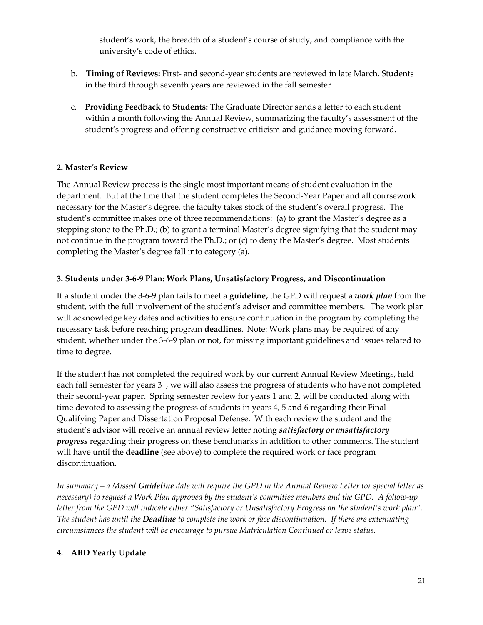student's work, the breadth of a student's course of study, and compliance with the university's code of ethics.

- b. **Timing of Reviews:** First- and second-year students are reviewed in late March. Students in the third through seventh years are reviewed in the fall semester.
- c. **Providing Feedback to Students:** The Graduate Director sends a letter to each student within a month following the Annual Review, summarizing the faculty's assessment of the student's progress and offering constructive criticism and guidance moving forward.

### **2. Master's Review**

The Annual Review process is the single most important means of student evaluation in the department. But at the time that the student completes the Second-Year Paper and all coursework necessary for the Master's degree, the faculty takes stock of the student's overall progress. The student's committee makes one of three recommendations: (a) to grant the Master's degree as a stepping stone to the Ph.D.; (b) to grant a terminal Master's degree signifying that the student may not continue in the program toward the Ph.D.; or (c) to deny the Master's degree. Most students completing the Master's degree fall into category (a).

### **3. Students under 3-6-9 Plan: Work Plans, Unsatisfactory Progress, and Discontinuation**

If a student under the 3-6-9 plan fails to meet a **guideline,** the GPD will request a *work plan* from the student, with the full involvement of the student's advisor and committee members.   The work plan will acknowledge key dates and activities to ensure continuation in the program by completing the necessary task before reaching program **deadlines**. Note: Work plans may be required of any student, whether under the 3-6-9 plan or not, for missing important guidelines and issues related to time to degree.

If the student has not completed the required work by our current Annual Review Meetings, held each fall semester for years 3+, we will also assess the progress of students who have not completed their second-year paper. Spring semester review for years 1 and 2, will be conducted along with time devoted to assessing the progress of students in years 4, 5 and 6 regarding their Final Qualifying Paper and Dissertation Proposal Defense. With each review the student and the student's advisor will receive an annual review letter noting *satisfactory or unsatisfactory progress* regarding their progress on these benchmarks in addition to other comments. The student will have until the **deadline** (see above) to complete the required work or face program discontinuation.

*In summary – a Missed Guideline date will require the GPD in the Annual Review Letter (or special letter as necessary) to request a Work Plan approved by the student's committee members and the GPD. A follow-up letter from the GPD will indicate either "Satisfactory or Unsatisfactory Progress on the student's work plan". The student has until the Deadline to complete the work or face discontinuation. If there are extenuating circumstances the student will be encourage to pursue Matriculation Continued or leave status.* 

# **4. ABD Yearly Update**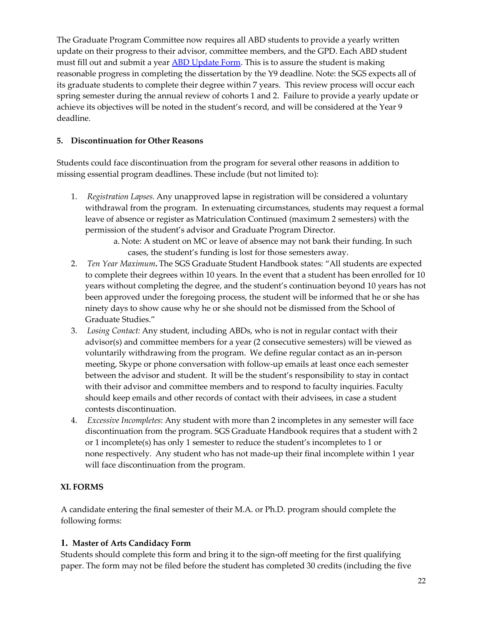The Graduate Program Committee now requires all ABD students to provide a yearly written update on their progress to their advisor, committee members, and the GPD. Each ABD student must fill out and submit a yea[r ABD Update Form.](https://sociology.rutgers.edu/academics/graduate/forms) This is to assure the student is making reasonable progress in completing the dissertation by the Y9 deadline. Note: the SGS expects all of its graduate students to complete their degree within 7 years. This review process will occur each spring semester during the annual review of cohorts 1 and 2. Failure to provide a yearly update or achieve its objectives will be noted in the student's record, and will be considered at the Year 9 deadline.

### **5. Discontinuation for Other Reasons**

Students could face discontinuation from the program for several other reasons in addition to missing essential program deadlines. These include (but not limited to):

- 1.      *Registration Lapses.* Any unapproved lapse in registration will be considered a voluntary withdrawal from the program. In extenuating circumstances, students may request a formal leave of absence or register as Matriculation Continued (maximum 2 semesters) with the permission of the student's advisor and Graduate Program Director.
	- a. Note: A student on MC or leave of absence may not bank their funding. In such cases, the student's funding is lost for those semesters away.
- 2.      *Ten Year Maximum***.** The SGS Graduate Student Handbook states: "All students are expected to complete their degrees within 10 years. In the event that a student has been enrolled for 10 years without completing the degree, and the student's continuation beyond 10 years has not been approved under the foregoing process, the student will be informed that he or she has ninety days to show cause why he or she should not be dismissed from the School of Graduate Studies."
- 3.      *Losing Contact:* Any student, including ABDs, who is not in regular contact with their advisor(s) and committee members for a year (2 consecutive semesters) will be viewed as voluntarily withdrawing from the program. We define regular contact as an in-person meeting, Skype or phone conversation with follow-up emails at least once each semester between the advisor and student. It will be the student's responsibility to stay in contact with their advisor and committee members and to respond to faculty inquiries. Faculty should keep emails and other records of contact with their advisees, in case a student contests discontinuation.
- 4.      *Excessive Incompletes*: Any student with more than 2 incompletes in any semester will face discontinuation from the program. SGS Graduate Handbook requires that a student with 2 or 1 incomplete(s) has only 1 semester to reduce the student's incompletes to 1 or none respectively. Any student who has not made-up their final incomplete within 1 year will face discontinuation from the program.

# **XI. FORMS**

A candidate entering the final semester of their M.A. or Ph.D. program should complete the following forms:

### **1. Master of Arts Candidacy Form**

Students should complete this form and bring it to the sign-off meeting for the first qualifying paper. The form may not be filed before the student has completed 30 credits (including the five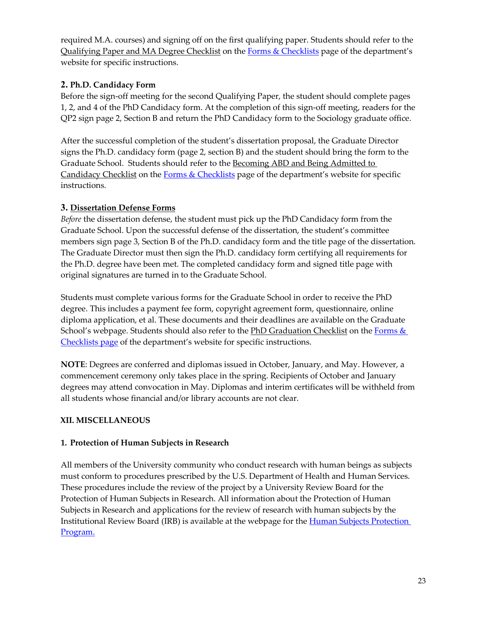required M.A. courses) and signing off on the first qualifying paper. Students should refer to the Qualifying Paper and MA Degree Checklist on the [Forms & Checklists](https://sociology.rutgers.edu/academics/graduate/forms) page of the department's website for specific instructions.

# **2. Ph.D. Candidacy Form**

Before the sign-off meeting for the second Qualifying Paper, the student should complete pages 1, 2, and 4 of the PhD Candidacy form. At the completion of this sign-off meeting, readers for the QP2 sign page 2, Section B and return the PhD Candidacy form to the Sociology graduate office.

After the successful completion of the student's dissertation proposal, the Graduate Director signs the Ph.D. candidacy form (page 2, section B) and the student should bring the form to the Graduate School. Students should refer to the Becoming ABD and Being Admitted to Candidacy Checklist on the [Forms & Checklists](https://sociology.rutgers.edu/academics/graduate/forms) page of the department's website for specific instructions.

# **3. Dissertation Defense Forms**

*Before* the dissertation defense, the student must pick up the PhD Candidacy form from the Graduate School. Upon the successful defense of the dissertation, the student's committee members sign page 3, Section B of the Ph.D. candidacy form and the title page of the dissertation. The Graduate Director must then sign the Ph.D. candidacy form certifying all requirements for the Ph.D. degree have been met. The completed candidacy form and signed title page with original signatures are turned in to the Graduate School.

Students must complete various forms for the Graduate School in order to receive the PhD degree. This includes a payment fee form, copyright agreement form, questionnaire, online diploma application, et al. These documents and their deadlines are available on the Graduate School's webpage. Students should also refer to the PhD Graduation Checklist on the Forms & [Checklists page](https://sociology.rutgers.edu/academics/graduate/forms) of the department's website for specific instructions.

**NOTE**: Degrees are conferred and diplomas issued in October, January, and May. However, a commencement ceremony only takes place in the spring. Recipients of October and January degrees may attend convocation in May. Diplomas and interim certificates will be withheld from all students whose financial and/or library accounts are not clear.

# **XII. MISCELLANEOUS**

# **1. Protection of Human Subjects in Research**

All members of the University community who conduct research with human beings as subjects must conform to procedures prescribed by the U.S. Department of Health and Human Services. These procedures include the review of the project by a University Review Board for the Protection of Human Subjects in Research. All information about the Protection of Human Subjects in Research and applications for the review of research with human subjects by the Institutional Review Board (IRB) is available at the webpage for the [Human Subjects Protection](https://orra.rutgers.edu/hspp)  [Program.](https://orra.rutgers.edu/hspp)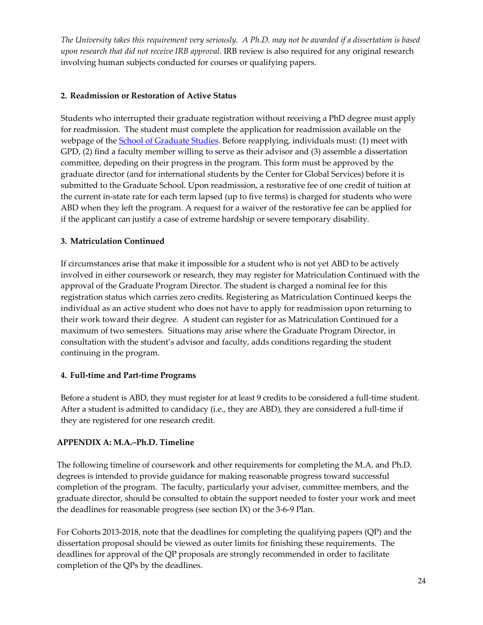*The University takes this requirement very seriously. A Ph.D. may not be awarded if a dissertation is based upon research that did not receive IRB approval*. IRB review is also required for any original research involving human subjects conducted for courses or qualifying papers.

### **2. Readmission or Restoration of Active Status**

Students who interrupted their graduate registration without receiving a PhD degree must apply for readmission. The student must complete the application for readmission available on the webpage of th[e School of Graduate Studies.](https://gsnb.rutgers.edu/resources/forms) Before reapplying, individuals must: (1) meet with GPD, (2) find a faculty member willing to serve as their advisor and (3) assemble a dissertation committee, depeding on their progress in the program. This form must be approved by the graduate director (and for international students by the Center for Global Services) before it is submitted to the Graduate School. Upon readmission, a restorative fee of one credit of tuition at the current in-state rate for each term lapsed (up to five terms) is charged for students who were ABD when they left the program. A request for a waiver of the restorative fee can be applied for if the applicant can justify a case of extreme hardship or severe temporary disability.

### **3. Matriculation Continued**

If circumstances arise that make it impossible for a student who is not yet ABD to be actively involved in either coursework or research, they may register for Matriculation Continued with the approval of the Graduate Program Director. The student is charged a nominal fee for this registration status which carries zero credits. Registering as Matriculation Continued keeps the individual as an active student who does not have to apply for readmission upon returning to their work toward their degree. A student can register for as Matriculation Continued for a maximum of two semesters. Situations may arise where the Graduate Program Director, in consultation with the student's advisor and faculty, adds conditions regarding the student continuing in the program.

# **4. Full-time and Part-time Programs**

Before a student is ABD, they must register for at least 9 credits to be considered a full-time student. After a student is admitted to candidacy (i.e., they are ABD), they are considered a full-time if they are registered for one research credit.

### **APPENDIX A: M.A.–Ph.D. Timeline**

The following timeline of coursework and other requirements for completing the M.A. and Ph.D. degrees is intended to provide guidance for making reasonable progress toward successful completion of the program. The faculty, particularly your adviser, committee members, and the graduate director, should be consulted to obtain the support needed to foster your work and meet the deadlines for reasonable progress (see section IX) or the 3-6-9 Plan.

For Cohorts 2013-2018, note that the deadlines for completing the qualifying papers (QP) and the dissertation proposal should be viewed as outer limits for finishing these requirements. The deadlines for approval of the QP proposals are strongly recommended in order to facilitate completion of the QPs by the deadlines.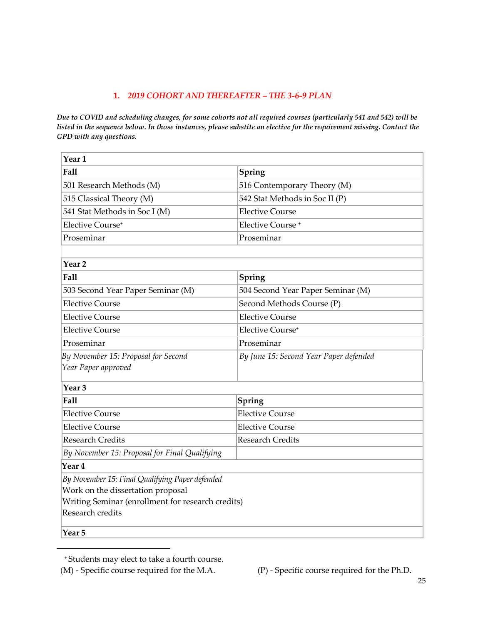### **1.** *2019 COHORT AND THEREAFTER – THE 3-6-9 PLAN*

*Due to COVID and scheduling changes, for some cohorts not all required courses (particularly 541 and 542) will be listed in the sequence below. In those instances, please substite an elective for the requirement missing. Contact the GPD with any questions.*

| Year <sub>1</sub>                                 |                                        |  |  |  |
|---------------------------------------------------|----------------------------------------|--|--|--|
| Fall                                              | Spring                                 |  |  |  |
| 501 Research Methods (M)                          | 516 Contemporary Theory (M)            |  |  |  |
| 515 Classical Theory (M)                          | 542 Stat Methods in Soc II (P)         |  |  |  |
| 541 Stat Methods in Soc I (M)                     | <b>Elective Course</b>                 |  |  |  |
| Elective Course <sup>+</sup>                      | Elective Course <sup>+</sup>           |  |  |  |
| Proseminar                                        | Proseminar                             |  |  |  |
|                                                   |                                        |  |  |  |
| Year <sub>2</sub>                                 |                                        |  |  |  |
| Fall                                              | Spring                                 |  |  |  |
| 503 Second Year Paper Seminar (M)                 | 504 Second Year Paper Seminar (M)      |  |  |  |
| <b>Elective Course</b>                            | Second Methods Course (P)              |  |  |  |
| <b>Elective Course</b>                            | <b>Elective Course</b>                 |  |  |  |
| <b>Elective Course</b>                            | Elective Course <sup>+</sup>           |  |  |  |
| Proseminar                                        | Proseminar                             |  |  |  |
| By November 15: Proposal for Second               | By June 15: Second Year Paper defended |  |  |  |
| Year Paper approved                               |                                        |  |  |  |
| Year <sub>3</sub>                                 |                                        |  |  |  |
| Fall                                              | Spring                                 |  |  |  |
| <b>Elective Course</b>                            | <b>Elective Course</b>                 |  |  |  |
| <b>Elective Course</b>                            | <b>Elective Course</b>                 |  |  |  |
| <b>Research Credits</b>                           | <b>Research Credits</b>                |  |  |  |
| By November 15: Proposal for Final Qualifying     |                                        |  |  |  |
| Year 4                                            |                                        |  |  |  |
| By November 15: Final Qualifying Paper defended   |                                        |  |  |  |
| Work on the dissertation proposal                 |                                        |  |  |  |
| Writing Seminar (enrollment for research credits) |                                        |  |  |  |
| Research credits                                  |                                        |  |  |  |
| Year <sub>5</sub>                                 |                                        |  |  |  |

<sup>\*</sup> <sup>+</sup> Students may elect to take a fourth course.

<span id="page-25-0"></span><sup>(</sup>M) - Specific course required for the M.A. (P) - Specific course required for the Ph.D.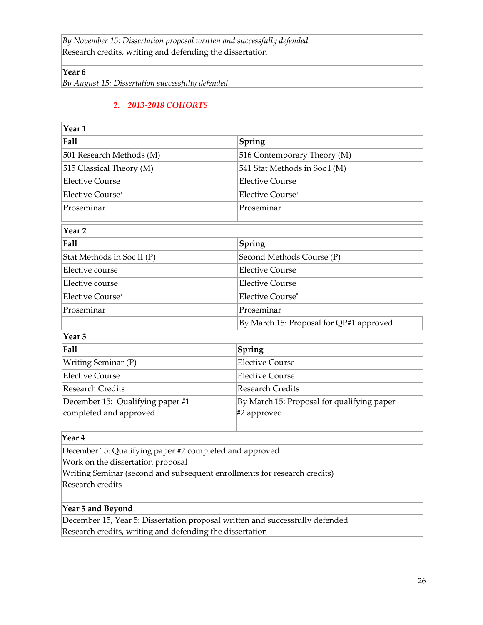*By November 15: Dissertation proposal written and successfully defended* Research credits, writing and defending the dissertation

**Year 6**

*By August 15: Dissertation successfully defended*

### **2.** *2013-2018 COHORTS*

| Year <sub>1</sub>                                                            |                                                           |
|------------------------------------------------------------------------------|-----------------------------------------------------------|
| Fall                                                                         | Spring                                                    |
| 501 Research Methods (M)                                                     | 516 Contemporary Theory (M)                               |
| 515 Classical Theory (M)                                                     | 541 Stat Methods in Soc I (M)                             |
| <b>Elective Course</b>                                                       | <b>Elective Course</b>                                    |
| Elective Course <sup>+</sup>                                                 | Elective Course <sup>+</sup>                              |
| Proseminar                                                                   | Proseminar                                                |
| Year <sub>2</sub>                                                            |                                                           |
| Fall                                                                         | Spring                                                    |
| Stat Methods in Soc II (P)                                                   | Second Methods Course (P)                                 |
| Elective course                                                              | <b>Elective Course</b>                                    |
| Elective course                                                              | <b>Elective Course</b>                                    |
| Elective Course <sup>+</sup>                                                 | Elective Course*                                          |
| Proseminar                                                                   | Proseminar                                                |
|                                                                              | By March 15: Proposal for QP#1 approved                   |
| Year <sub>3</sub>                                                            |                                                           |
| <b>Fall</b>                                                                  | Spring                                                    |
| Writing Seminar (P)                                                          | <b>Elective Course</b>                                    |
| <b>Elective Course</b>                                                       | <b>Elective Course</b>                                    |
| <b>Research Credits</b>                                                      | <b>Research Credits</b>                                   |
| December 15: Qualifying paper #1<br>completed and approved                   | By March 15: Proposal for qualifying paper<br>#2 approved |
| Year 4                                                                       |                                                           |
| December 15: Qualifying paper #2 completed and approved                      |                                                           |
| Work on the dissertation proposal                                            |                                                           |
| Writing Seminar (second and subsequent enrollments for research credits)     |                                                           |
| Research credits                                                             |                                                           |
| Year 5 and Beyond                                                            |                                                           |
| December 15, Year 5: Dissertation proposal written and successfully defended |                                                           |

<span id="page-26-0"></span>Research credits, writing and defending the dissertation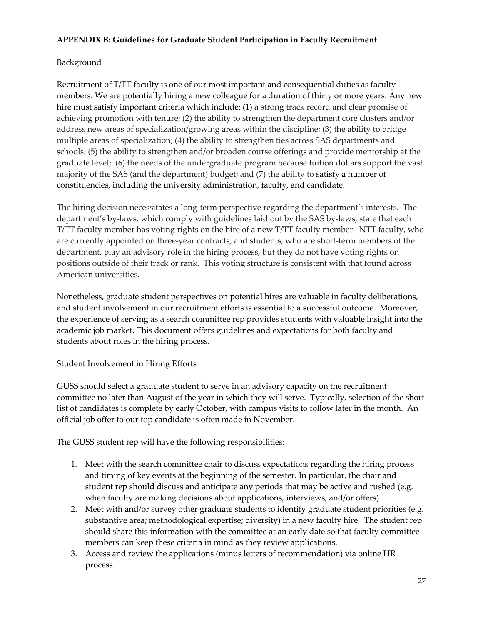### **APPENDIX B: Guidelines for Graduate Student Participation in Faculty Recruitment**

### **Background**

Recruitment of T/TT faculty is one of our most important and consequential duties as faculty members. We are potentially hiring a new colleague for a duration of thirty or more years. Any new hire must satisfy important criteria which include: (1) a strong track record and clear promise of achieving promotion with tenure; (2) the ability to strengthen the department core clusters and/or address new areas of specialization/growing areas within the discipline; (3) the ability to bridge multiple areas of specialization; (4) the ability to strengthen ties across SAS departments and schools; (5) the ability to strengthen and/or broaden course offerings and provide mentorship at the graduate level; (6) the needs of the undergraduate program because tuition dollars support the vast majority of the SAS (and the department) budget; and (7) the ability to satisfy a number of constituencies, including the university administration, faculty, and candidate.

The hiring decision necessitates a long-term perspective regarding the department's interests. The department's by-laws, which comply with guidelines laid out by the SAS by-laws, state that each T/TT faculty member has voting rights on the hire of a new T/TT faculty member. NTT faculty, who are currently appointed on three-year contracts, and students, who are short-term members of the department, play an advisory role in the hiring process, but they do not have voting rights on positions outside of their track or rank. This voting structure is consistent with that found across American universities.

Nonetheless, graduate student perspectives on potential hires are valuable in faculty deliberations, and student involvement in our recruitment efforts is essential to a successful outcome. Moreover, the experience of serving as a search committee rep provides students with valuable insight into the academic job market. This document offers guidelines and expectations for both faculty and students about roles in the hiring process.

### Student Involvement in Hiring Efforts

GUSS should select a graduate student to serve in an advisory capacity on the recruitment committee no later than August of the year in which they will serve. Typically, selection of the short list of candidates is complete by early October, with campus visits to follow later in the month. An official job offer to our top candidate is often made in November.

The GUSS student rep will have the following responsibilities:

- 1. Meet with the search committee chair to discuss expectations regarding the hiring process and timing of key events at the beginning of the semester. In particular, the chair and student rep should discuss and anticipate any periods that may be active and rushed (e.g. when faculty are making decisions about applications, interviews, and/or offers).
- 2. Meet with and/or survey other graduate students to identify graduate student priorities (e.g. substantive area; methodological expertise; diversity) in a new faculty hire. The student rep should share this information with the committee at an early date so that faculty committee members can keep these criteria in mind as they review applications.
- 3. Access and review the applications (minus letters of recommendation) via online HR process.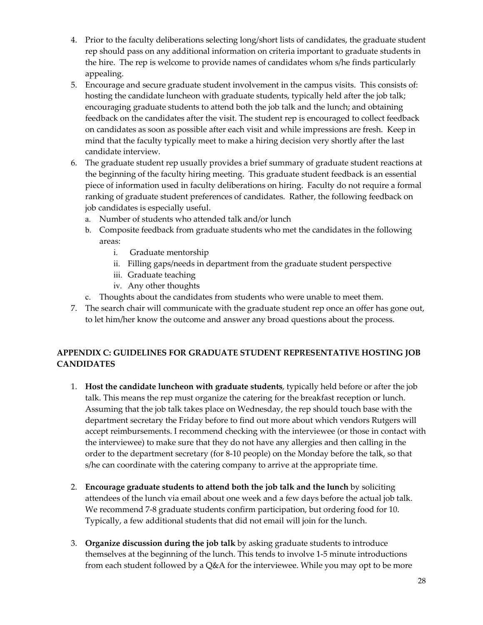- 4. Prior to the faculty deliberations selecting long/short lists of candidates, the graduate student rep should pass on any additional information on criteria important to graduate students in the hire. The rep is welcome to provide names of candidates whom s/he finds particularly appealing.
- 5. Encourage and secure graduate student involvement in the campus visits. This consists of: hosting the candidate luncheon with graduate students, typically held after the job talk; encouraging graduate students to attend both the job talk and the lunch; and obtaining feedback on the candidates after the visit. The student rep is encouraged to collect feedback on candidates as soon as possible after each visit and while impressions are fresh. Keep in mind that the faculty typically meet to make a hiring decision very shortly after the last candidate interview.
- 6. The graduate student rep usually provides a brief summary of graduate student reactions at the beginning of the faculty hiring meeting. This graduate student feedback is an essential piece of information used in faculty deliberations on hiring. Faculty do not require a formal ranking of graduate student preferences of candidates. Rather, the following feedback on job candidates is especially useful.
	- a. Number of students who attended talk and/or lunch
	- b. Composite feedback from graduate students who met the candidates in the following areas:
		- i. Graduate mentorship
		- ii. Filling gaps/needs in department from the graduate student perspective
		- iii. Graduate teaching
		- iv. Any other thoughts
	- c. Thoughts about the candidates from students who were unable to meet them.
- 7. The search chair will communicate with the graduate student rep once an offer has gone out, to let him/her know the outcome and answer any broad questions about the process.

# **APPENDIX C: GUIDELINES FOR GRADUATE STUDENT REPRESENTATIVE HOSTING JOB CANDIDATES**

- 1. **Host the candidate luncheon with graduate students**, typically held before or after the job talk. This means the rep must organize the catering for the breakfast reception or lunch. Assuming that the job talk takes place on Wednesday, the rep should touch base with the department secretary the Friday before to find out more about which vendors Rutgers will accept reimbursements. I recommend checking with the interviewee (or those in contact with the interviewee) to make sure that they do not have any allergies and then calling in the order to the department secretary (for 8-10 people) on the Monday before the talk, so that s/he can coordinate with the catering company to arrive at the appropriate time.
- 2. **Encourage graduate students to attend both the job talk and the lunch** by soliciting attendees of the lunch via email about one week and a few days before the actual job talk. We recommend 7-8 graduate students confirm participation, but ordering food for 10. Typically, a few additional students that did not email will join for the lunch.
- 3. **Organize discussion during the job talk** by asking graduate students to introduce themselves at the beginning of the lunch. This tends to involve 1-5 minute introductions from each student followed by a  $Q&A$  for the interviewee. While you may opt to be more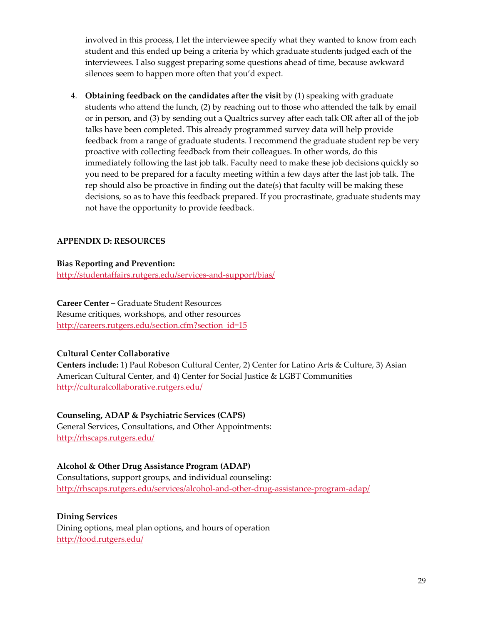involved in this process, I let the interviewee specify what they wanted to know from each student and this ended up being a criteria by which graduate students judged each of the interviewees. I also suggest preparing some questions ahead of time, because awkward silences seem to happen more often that you'd expect.

4. **Obtaining feedback on the candidates after the visit** by (1) speaking with graduate students who attend the lunch, (2) by reaching out to those who attended the talk by email or in person, and (3) by sending out a Qualtrics survey after each talk OR after all of the job talks have been completed. This already programmed survey data will help provide feedback from a range of graduate students. I recommend the graduate student rep be very proactive with collecting feedback from their colleagues. In other words, do this immediately following the last job talk. Faculty need to make these job decisions quickly so you need to be prepared for a faculty meeting within a few days after the last job talk. The rep should also be proactive in finding out the date(s) that faculty will be making these decisions, so as to have this feedback prepared. If you procrastinate, graduate students may not have the opportunity to provide feedback.

### **APPENDIX D: RESOURCES**

#### **Bias Reporting and Prevention:**

<http://studentaffairs.rutgers.edu/services-and-support/bias/>

### **Career Center –** Graduate Student Resources

Resume critiques, workshops, and other resources [http://careers.rutgers.edu/section.cfm?section\\_id=15](http://careers.rutgers.edu/section.cfm?section_id=15)

### **Cultural Center Collaborative**

**Centers include:** 1) Paul Robeson Cultural Center, 2) Center for Latino Arts & Culture, 3) Asian American Cultural Center, and 4) Center for Social Justice & LGBT Communities <http://culturalcollaborative.rutgers.edu/>

### **Counseling, ADAP & Psychiatric Services (CAPS)**

General Services, Consultations, and Other Appointments: <http://rhscaps.rutgers.edu/>

### **Alcohol & Other Drug Assistance Program (ADAP)**

Consultations, support groups, and individual counseling: <http://rhscaps.rutgers.edu/services/alcohol-and-other-drug-assistance-program-adap/>

#### **Dining Services**

Dining options, meal plan options, and hours of operation <http://food.rutgers.edu/>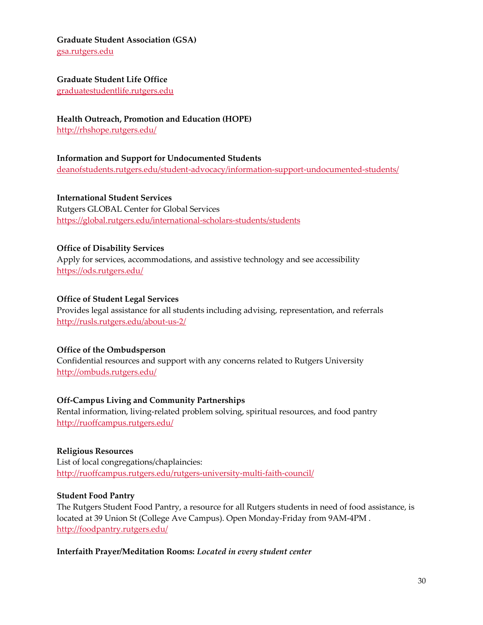**Graduate Student Association (GSA)**

[gsa.rutgers.edu](http://gsa.rutgers.edu/)

#### **Graduate Student Life Office**

[graduatestudentlife.rutgers.edu](http://graduatestudentlife.rutgers.edu/)

### **Health Outreach, Promotion and Education (HOPE)** <http://rhshope.rutgers.edu/>

### **Information and Support for Undocumented Students** [deanofstudents.rutgers.edu/student-advocacy/information-support-undocumented-students/](http://deanofstudents.rutgers.edu/student-advocacy/information-support-undocumented-students/)

**International Student Services** Rutgers GLOBAL Center for Global Services <https://global.rutgers.edu/international-scholars-students/students>

### **Office of Disability Services**

Apply for services, accommodations, and assistive technology and see accessibility <https://ods.rutgers.edu/>

### **Office of Student Legal Services**

Provides legal assistance for all students including advising, representation, and referrals <http://rusls.rutgers.edu/about-us-2/>

### **Office of the Ombudsperson**

Confidential resources and support with any concerns related to Rutgers University <http://ombuds.rutgers.edu/>

### **Off-Campus Living and Community Partnerships**

Rental information, living-related problem solving, spiritual resources, and food pantry <http://ruoffcampus.rutgers.edu/>

### **Religious Resources**

List of local congregations/chaplaincies: <http://ruoffcampus.rutgers.edu/rutgers-university-multi-faith-council/>

### **Student Food Pantry**

The Rutgers Student Food Pantry, a resource for all Rutgers students in need of food assistance, is located at 39 Union St (College Ave Campus). Open Monday-Friday from 9AM-4PM . <http://foodpantry.rutgers.edu/>

### **Interfaith Prayer/Meditation Rooms:** *Located in every student center*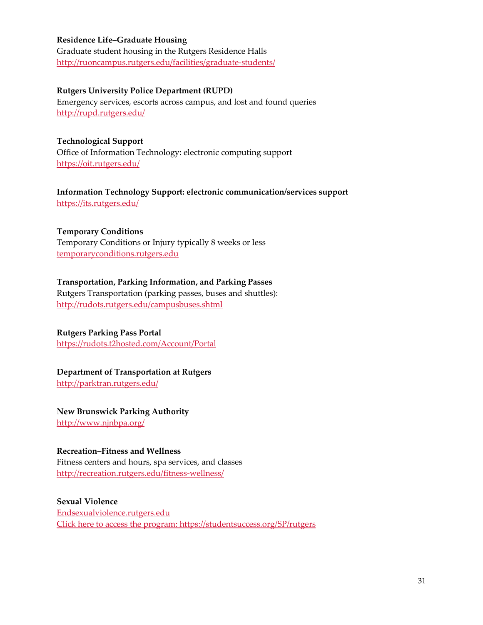#### **Residence Life–Graduate Housing**

Graduate student housing in the Rutgers Residence Halls <http://ruoncampus.rutgers.edu/facilities/graduate-students/>

#### **Rutgers University Police Department (RUPD)**

Emergency services, escorts across campus, and lost and found queries <http://rupd.rutgers.edu/>

### **Technological Support** Office of Information Technology: electronic computing support <https://oit.rutgers.edu/>

**Information Technology Support: electronic communication/services support** <https://its.rutgers.edu/>

### **Temporary Conditions**

Temporary Conditions or Injury typically 8 weeks or less [temporaryconditions.rutgers.edu](http://temporaryconditions.rutgers.edu/)

### **Transportation, Parking Information, and Parking Passes**

Rutgers Transportation (parking passes, buses and shuttles): <http://rudots.rutgers.edu/campusbuses.shtml>

### **Rutgers Parking Pass Portal**

<https://rudots.t2hosted.com/Account/Portal>

#### **Department of Transportation at Rutgers**

<http://parktran.rutgers.edu/>

### **New Brunswick Parking Authority**

<http://www.njnbpa.org/>

#### **Recreation–Fitness and Wellness**

Fitness centers and hours, spa services, and classes <http://recreation.rutgers.edu/fitness-wellness/>

### **Sexual Violence**

[Endsexualviolence.rutgers.edu](http://endsexualviolence.rutgers.edu/) [Click here to access the program: https://studentsuccess.org/SP/rutgers](http://nso.rutgers.edu/education/)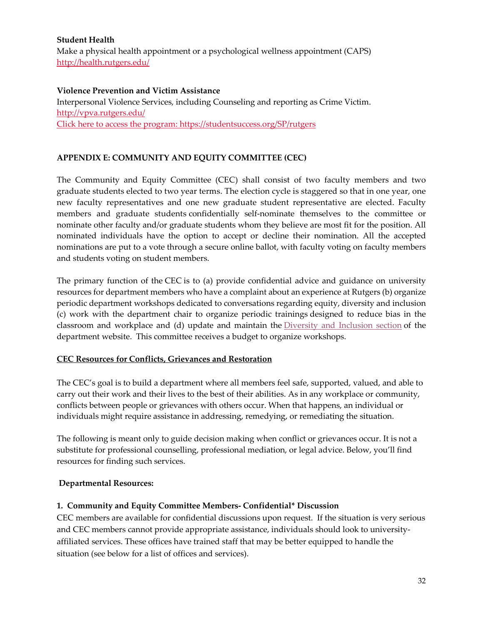### **Student Health**

Make a physical health appointment or a psychological wellness appointment (CAPS) <http://health.rutgers.edu/>

#### **Violence Prevention and Victim Assistance**

Interpersonal Violence Services, including Counseling and reporting as Crime Victim. <http://vpva.rutgers.edu/> [Click here to access the program: https://studentsuccess.org/SP/rutgers](http://nso.rutgers.edu/education/)

### **APPENDIX E: COMMUNITY AND EQUITY COMMITTEE (CEC)**

The Community and Equity Committee (CEC) shall consist of two faculty members and two graduate students elected to two year terms. The election cycle is staggered so that in one year, one new faculty representatives and one new graduate student representative are elected. Faculty members and graduate students confidentially self-nominate themselves to the committee or nominate other faculty and/or graduate students whom they believe are most fit for the position. All nominated individuals have the option to accept or decline their nomination. All the accepted nominations are put to a vote through a secure online ballot, with faculty voting on faculty members and students voting on student members.

The primary function of the CEC is to (a) provide confidential advice and guidance on university resources for department members who have a complaint about an experience at Rutgers (b) organize periodic department workshops dedicated to conversations regarding equity, diversity and inclusion (c) work with the department chair to organize periodic trainings designed to reduce bias in the classroom and workplace and (d) update and maintain the [Diversity](https://sociology.rutgers.edu/promoting-diversity-and-inclusion) and Inclusion section of the department website. This committee receives a budget to organize workshops.

### **CEC Resources for Conflicts, Grievances and Restoration**

The CEC's goal is to build a department where all members feel safe, supported, valued, and able to carry out their work and their lives to the best of their abilities. As in any workplace or community, conflicts between people or grievances with others occur. When that happens, an individual or individuals might require assistance in addressing, remedying, or remediating the situation.

The following is meant only to guide decision making when conflict or grievances occur. It is not a substitute for professional counselling, professional mediation, or legal advice. Below, you'll find resources for finding such services.

### **Departmental Resources:**

### **1. Community and Equity Committee Members- Confidential\* Discussion**

CEC members are available for confidential discussions upon request. If the situation is very serious and CEC members cannot provide appropriate assistance, individuals should look to universityaffiliated services. These offices have trained staff that may be better equipped to handle the situation (see below for a list of offices and services).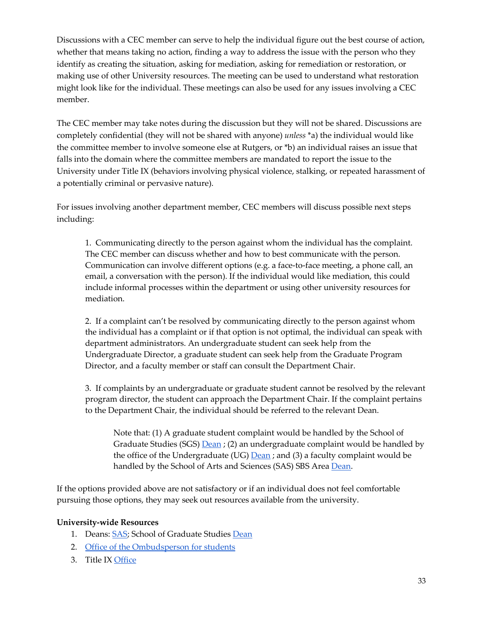Discussions with a CEC member can serve to help the individual figure out the best course of action, whether that means taking no action, finding a way to address the issue with the person who they identify as creating the situation, asking for mediation, asking for remediation or restoration, or making use of other University resources. The meeting can be used to understand what restoration might look like for the individual. These meetings can also be used for any issues involving a CEC member.

The CEC member may take notes during the discussion but they will not be shared. Discussions are completely confidential (they will not be shared with anyone) *unless* \*a) the individual would like the committee member to involve someone else at Rutgers, or \*b) an individual raises an issue that falls into the domain where the committee members are mandated to report the issue to the University under Title IX (behaviors involving physical violence, stalking, or repeated harassment of a potentially criminal or pervasive nature).

For issues involving another department member, CEC members will discuss possible next steps including:

1. Communicating directly to the person against whom the individual has the complaint. The CEC member can discuss whether and how to best communicate with the person. Communication can involve different options (e.g. a face-to-face meeting, a phone call, an email, a conversation with the person). If the individual would like mediation, this could include informal processes within the department or using other university resources for mediation.

2. If a complaint can't be resolved by communicating directly to the person against whom the individual has a complaint or if that option is not optimal, the individual can speak with department administrators. An undergraduate student can seek help from the Undergraduate Director, a graduate student can seek help from the Graduate Program Director, and a faculty member or staff can consult the Department Chair.

3. If complaints by an undergraduate or graduate student cannot be resolved by the relevant program director, the student can approach the Department Chair. If the complaint pertains to the Department Chair, the individual should be referred to the relevant Dean.

Note that: (1) A graduate student complaint would be handled by the School of Graduate Studies (SGS)  $\overline{\mathrm{Dean}}$ ; (2) an undergraduate complaint would be handled by the office of the Undergraduate (UG)  $\overline{Dean}$ ; and (3) a faculty complaint would be handled by the School of Arts and Sciences (SAS) SBS Area [Dean.](https://sas.rutgers.edu/office-of-the-dean/leadership-and-directory/415-leadership-staff-bios/2717-david-vicario)

If the options provided above are not satisfactory or if an individual does not feel comfortable pursuing those options, they may seek out resources available from the university.

#### **University-wide Resources**

- 1. Deans: [SAS;](https://sas.rutgers.edu/office-of-the-dean/leadership-and-directory) School of Graduate Studies [Dean](https://gsnb.rutgers.edu/current-students)
- 2. [Office of the Ombudsperson for students](https://ombuds.rutgers.edu/FAQ)
- 3. Title IX [Office](http://compliance.rutgers.edu/title-ix/)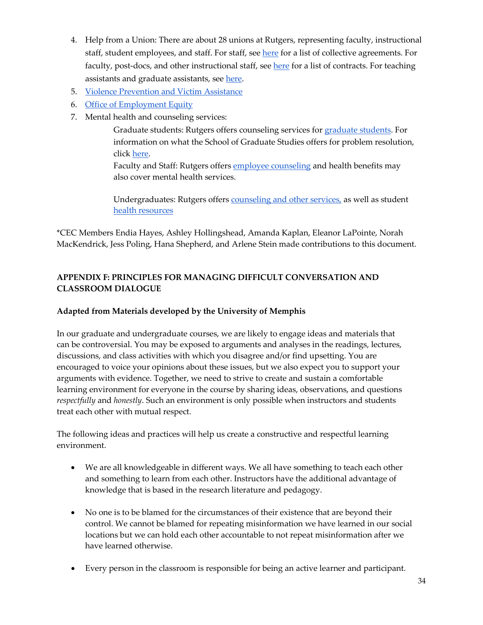- 4. Help from a Union: There are about 28 unions at Rutgers, representing faculty, instructional staff, student employees, and staff. For staff, see [here](https://uhr.rutgers.edu/collective-negotiations-agreements) for a list of collective agreements. For faculty, post-docs, and other instructional staff, se[e here](https://academiclaborrelations.rutgers.edu/contracts) for a list of contracts. For teaching assistants and graduate assistants, see [here.](https://www.rutgersaaup.org/graduate-students/)
- 5. [Violence Prevention and Victim Assistance](http://vpva.rutgers.edu/)
- 6. [Office of Employment Equity](https://uhr.rutgers.edu/uhr-units-offices/office-employment-equity)
- 7. Mental health and counseling services:

Graduate students: Rutgers offers counseling services fo[r graduate students.](https://gsnb.rutgers.edu/counseling-services) For information on what the School of Graduate Studies offers for problem resolution, click [here.](https://gsnb.rutgers.edu/student-services/problem-resolution)

Faculty and Staff: Rutgers offer[s employee counseling](https://uhr.rutgers.edu/worklife-balance/employee-counseling) and health benefits may also cover mental health services.

Undergraduates: Rutgers offers [counseling and other services,](http://health.rutgers.edu/medical-counseling-services/counseling/) as well as student [health resources](http://health.rutgers.edu/)

\*CEC Members Endia Hayes, Ashley Hollingshead, Amanda Kaplan, Eleanor LaPointe, Norah MacKendrick, Jess Poling, Hana Shepherd, and Arlene Stein made contributions to this document.

# **APPENDIX F: PRINCIPLES FOR MANAGING DIFFICULT CONVERSATION AND CLASSROOM DIALOGUE**

### **Adapted from Materials developed by the University of Memphis**

In our graduate and undergraduate courses, we are likely to engage ideas and materials that can be controversial. You may be exposed to arguments and analyses in the readings, lectures, discussions, and class activities with which you disagree and/or find upsetting. You are encouraged to voice your opinions about these issues, but we also expect you to support your arguments with evidence. Together, we need to strive to create and sustain a comfortable learning environment for everyone in the course by sharing ideas, observations, and questions *respectfully* and *honestly*. Such an environment is only possible when instructors and students treat each other with mutual respect.

The following ideas and practices will help us create a constructive and respectful learning environment.

- We are all knowledgeable in different ways. We all have something to teach each other and something to learn from each other. Instructors have the additional advantage of knowledge that is based in the research literature and pedagogy.
- No one is to be blamed for the circumstances of their existence that are beyond their control. We cannot be blamed for repeating misinformation we have learned in our social locations but we can hold each other accountable to not repeat misinformation after we have learned otherwise.
- Every person in the classroom is responsible for being an active learner and participant.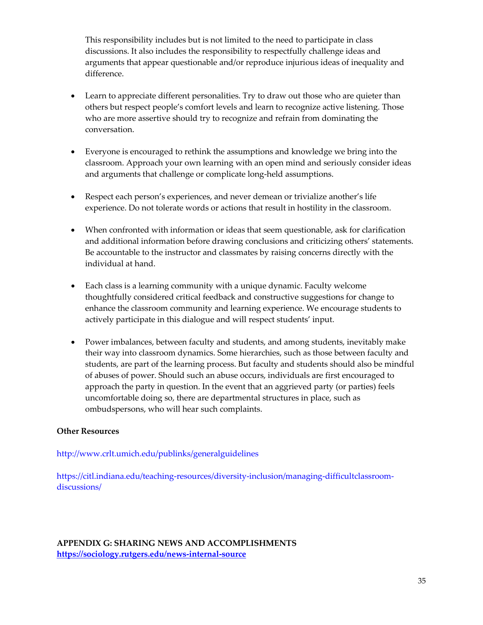This responsibility includes but is not limited to the need to participate in class discussions. It also includes the responsibility to respectfully challenge ideas and arguments that appear questionable and/or reproduce injurious ideas of inequality and difference.

- Learn to appreciate different personalities. Try to draw out those who are quieter than others but respect people's comfort levels and learn to recognize active listening. Those who are more assertive should try to recognize and refrain from dominating the conversation.
- Everyone is encouraged to rethink the assumptions and knowledge we bring into the classroom. Approach your own learning with an open mind and seriously consider ideas and arguments that challenge or complicate long-held assumptions.
- Respect each person's experiences, and never demean or trivialize another's life experience. Do not tolerate words or actions that result in hostility in the classroom.
- When confronted with information or ideas that seem questionable, ask for clarification and additional information before drawing conclusions and criticizing others' statements. Be accountable to the instructor and classmates by raising concerns directly with the individual at hand.
- Each class is a learning community with a unique dynamic. Faculty welcome thoughtfully considered critical feedback and constructive suggestions for change to enhance the classroom community and learning experience. We encourage students to actively participate in this dialogue and will respect students' input.
- Power imbalances, between faculty and students, and among students, inevitably make their way into classroom dynamics. Some hierarchies, such as those between faculty and students, are part of the learning process. But faculty and students should also be mindful of abuses of power. Should such an abuse occurs, individuals are first encouraged to approach the party in question. In the event that an aggrieved party (or parties) feels uncomfortable doing so, there are departmental structures in place, such as ombudspersons, who will hear such complaints.

### **Other Resources**

<http://www.crlt.umich.edu/publinks/generalguidelines>

https://citl.indiana.edu/teaching-resources/diversity-inclusion/managing-difficultclassroomdiscussions/